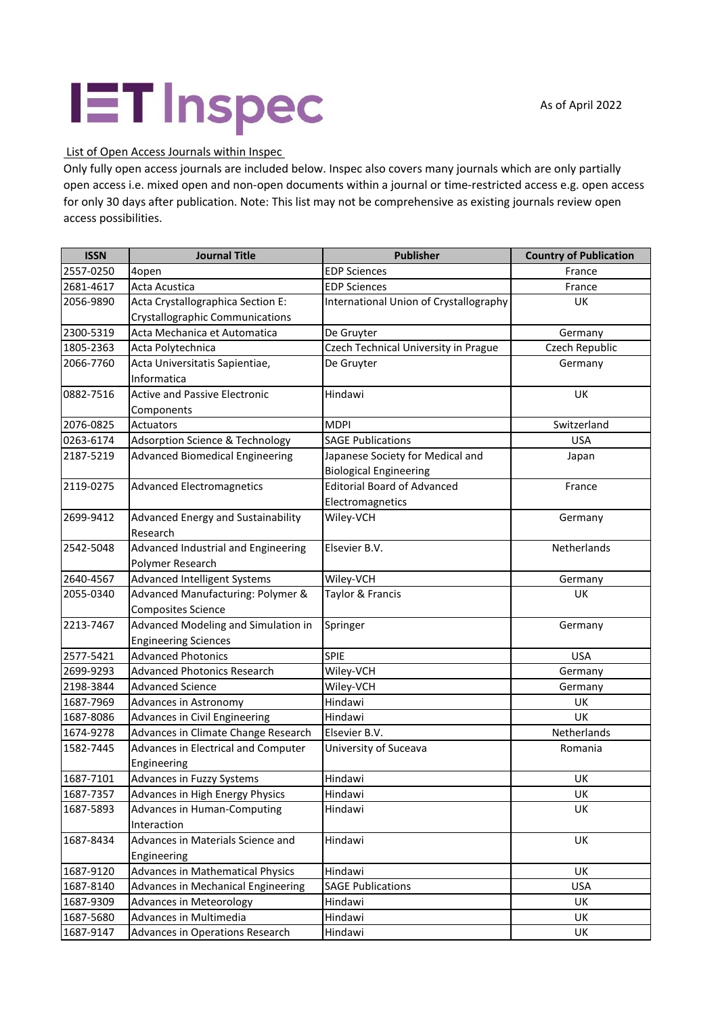## **IET** Inspec

List of Open Access Journals within Inspec

Only fully open access journals are included below. Inspec also covers many journals which are only partially open access i.e. mixed open and non-open documents within a journal or time-restricted access e.g. open access for only 30 days after publication. Note: This list may not be comprehensive as existing journals review open access possibilities.

| <b>ISSN</b> | <b>Journal Title</b>                       | Publisher                              | <b>Country of Publication</b> |
|-------------|--------------------------------------------|----------------------------------------|-------------------------------|
| 2557-0250   | 4open                                      | <b>EDP Sciences</b>                    | France                        |
| 2681-4617   | Acta Acustica                              | <b>EDP Sciences</b>                    | France                        |
| 2056-9890   | Acta Crystallographica Section E:          | International Union of Crystallography | <b>UK</b>                     |
|             | Crystallographic Communications            |                                        |                               |
| 2300-5319   | Acta Mechanica et Automatica               | De Gruyter                             | Germany                       |
| 1805-2363   | Acta Polytechnica                          | Czech Technical University in Prague   | Czech Republic                |
| 2066-7760   | Acta Universitatis Sapientiae,             | De Gruyter                             | Germany                       |
|             | Informatica                                |                                        |                               |
| 0882-7516   | <b>Active and Passive Electronic</b>       | Hindawi                                | <b>UK</b>                     |
|             | Components                                 |                                        |                               |
| 2076-0825   | Actuators                                  | <b>MDPI</b>                            | Switzerland                   |
| 0263-6174   | <b>Adsorption Science &amp; Technology</b> | <b>SAGE Publications</b>               | <b>USA</b>                    |
| 2187-5219   | <b>Advanced Biomedical Engineering</b>     | Japanese Society for Medical and       | Japan                         |
|             |                                            | <b>Biological Engineering</b>          |                               |
| 2119-0275   | <b>Advanced Electromagnetics</b>           | <b>Editorial Board of Advanced</b>     | France                        |
|             |                                            | Electromagnetics                       |                               |
| 2699-9412   | Advanced Energy and Sustainability         | Wiley-VCH                              | Germany                       |
|             | Research                                   |                                        |                               |
| 2542-5048   | Advanced Industrial and Engineering        | Elsevier B.V.                          | Netherlands                   |
|             | Polymer Research                           |                                        |                               |
| 2640-4567   | Advanced Intelligent Systems               | Wiley-VCH                              | Germany                       |
| 2055-0340   | Advanced Manufacturing: Polymer &          | Taylor & Francis                       | <b>UK</b>                     |
|             | <b>Composites Science</b>                  |                                        |                               |
| 2213-7467   | Advanced Modeling and Simulation in        | Springer                               | Germany                       |
|             | <b>Engineering Sciences</b>                |                                        |                               |
| 2577-5421   | <b>Advanced Photonics</b>                  | <b>SPIE</b>                            | <b>USA</b>                    |
| 2699-9293   | <b>Advanced Photonics Research</b>         | Wiley-VCH                              | Germany                       |
| 2198-3844   | <b>Advanced Science</b>                    | Wiley-VCH                              | Germany                       |
| 1687-7969   | Advances in Astronomy                      | Hindawi                                | UK                            |
| 1687-8086   | Advances in Civil Engineering              | Hindawi                                | <b>UK</b>                     |
| 1674-9278   | Advances in Climate Change Research        | Elsevier B.V.                          | Netherlands                   |
| 1582-7445   | Advances in Electrical and Computer        | University of Suceava                  | Romania                       |
|             | Engineering                                |                                        |                               |
| 1687-7101   | Advances in Fuzzy Systems                  | Hindawi                                | <b>UK</b>                     |
| 1687-7357   | Advances in High Energy Physics            | Hindawi                                | UK                            |
| 1687-5893   | <b>Advances in Human-Computing</b>         | Hindawi                                | UK                            |
|             | Interaction                                |                                        |                               |
| 1687-8434   | Advances in Materials Science and          | Hindawi                                | UK                            |
|             | Engineering                                |                                        |                               |
| 1687-9120   | Advances in Mathematical Physics           | Hindawi                                | <b>UK</b>                     |
| 1687-8140   | Advances in Mechanical Engineering         | <b>SAGE Publications</b>               | <b>USA</b>                    |
| 1687-9309   | <b>Advances in Meteorology</b>             | Hindawi                                | UK                            |
| 1687-5680   | Advances in Multimedia                     | Hindawi                                | UK                            |
| 1687-9147   | Advances in Operations Research            | Hindawi                                | UK                            |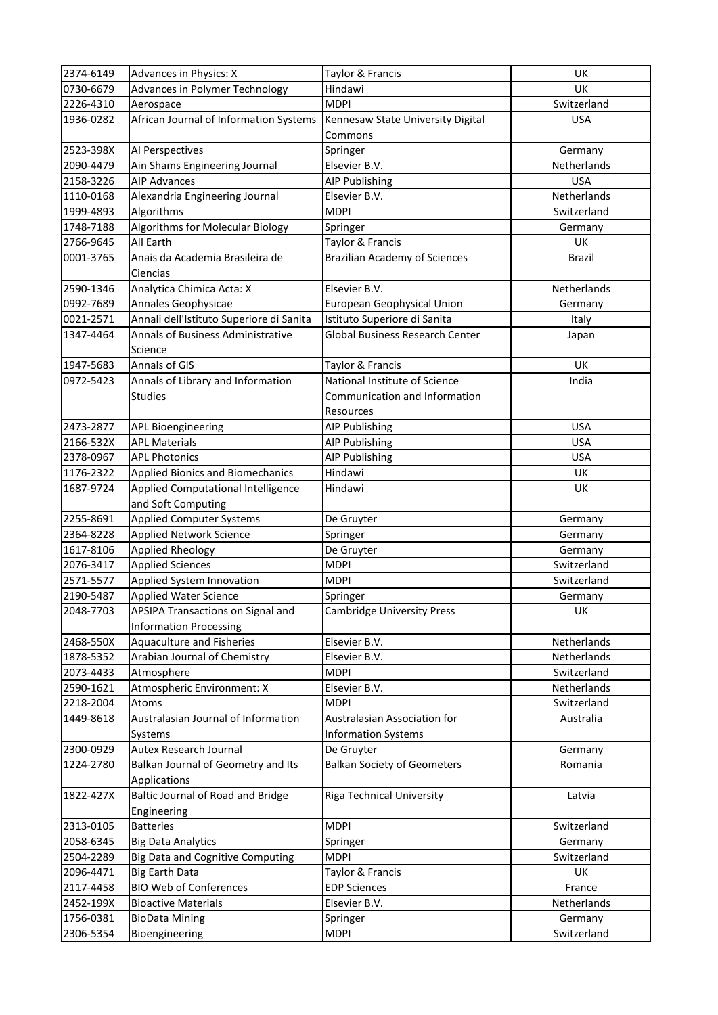| 2374-6149 | <b>Advances in Physics: X</b>             | Taylor & Francis                       | UK            |
|-----------|-------------------------------------------|----------------------------------------|---------------|
| 0730-6679 | <b>Advances in Polymer Technology</b>     | Hindawi                                | UK            |
| 2226-4310 | Aerospace                                 | <b>MDPI</b>                            | Switzerland   |
| 1936-0282 | African Journal of Information Systems    | Kennesaw State University Digital      | <b>USA</b>    |
|           |                                           | Commons                                |               |
| 2523-398X | AI Perspectives                           | Springer                               | Germany       |
| 2090-4479 | Ain Shams Engineering Journal             | Elsevier B.V.                          | Netherlands   |
| 2158-3226 | <b>AIP Advances</b>                       | <b>AIP Publishing</b>                  | <b>USA</b>    |
| 1110-0168 | Alexandria Engineering Journal            | Elsevier B.V.                          | Netherlands   |
| 1999-4893 | Algorithms                                | <b>MDPI</b>                            | Switzerland   |
| 1748-7188 | Algorithms for Molecular Biology          | Springer                               | Germany       |
| 2766-9645 | All Earth                                 | Taylor & Francis                       | UK            |
| 0001-3765 | Anais da Academia Brasileira de           | <b>Brazilian Academy of Sciences</b>   | <b>Brazil</b> |
|           | Ciencias                                  |                                        |               |
| 2590-1346 | Analytica Chimica Acta: X                 | Elsevier B.V.                          | Netherlands   |
| 0992-7689 | Annales Geophysicae                       | European Geophysical Union             | Germany       |
| 0021-2571 | Annali dell'Istituto Superiore di Sanita  | Istituto Superiore di Sanita           | Italy         |
| 1347-4464 | <b>Annals of Business Administrative</b>  | <b>Global Business Research Center</b> | Japan         |
|           | Science                                   |                                        |               |
| 1947-5683 | Annals of GIS                             | Taylor & Francis                       | UK            |
| 0972-5423 | Annals of Library and Information         | National Institute of Science          | India         |
|           | <b>Studies</b>                            | Communication and Information          |               |
|           |                                           | Resources                              |               |
| 2473-2877 | APL Bioengineering                        | AIP Publishing                         | <b>USA</b>    |
| 2166-532X | <b>APL Materials</b>                      | AIP Publishing                         | <b>USA</b>    |
| 2378-0967 | <b>APL Photonics</b>                      | <b>AIP Publishing</b>                  | <b>USA</b>    |
| 1176-2322 | <b>Applied Bionics and Biomechanics</b>   | Hindawi                                | UK            |
| 1687-9724 | <b>Applied Computational Intelligence</b> | Hindawi                                | UK            |
|           | and Soft Computing                        |                                        |               |
| 2255-8691 | <b>Applied Computer Systems</b>           | De Gruyter                             | Germany       |
| 2364-8228 | <b>Applied Network Science</b>            | Springer                               | Germany       |
| 1617-8106 | <b>Applied Rheology</b>                   | De Gruyter                             | Germany       |
| 2076-3417 | <b>Applied Sciences</b>                   | <b>MDPI</b>                            | Switzerland   |
| 2571-5577 | Applied System Innovation                 | <b>MDPI</b>                            | Switzerland   |
| 2190-5487 | <b>Applied Water Science</b>              | Springer                               | Germany       |
| 2048-7703 | APSIPA Transactions on Signal and         | <b>Cambridge University Press</b>      | UK            |
|           | <b>Information Processing</b>             |                                        |               |
| 2468-550X | <b>Aquaculture and Fisheries</b>          | Elsevier B.V.                          | Netherlands   |
| 1878-5352 | Arabian Journal of Chemistry              | Elsevier B.V.                          | Netherlands   |
| 2073-4433 | Atmosphere                                | <b>MDPI</b>                            | Switzerland   |
| 2590-1621 | Atmospheric Environment: X                | Elsevier B.V.                          | Netherlands   |
| 2218-2004 | Atoms                                     | <b>MDPI</b>                            | Switzerland   |
| 1449-8618 | Australasian Journal of Information       | Australasian Association for           | Australia     |
|           | Systems                                   | <b>Information Systems</b>             |               |
| 2300-0929 | Autex Research Journal                    | De Gruyter                             | Germany       |
| 1224-2780 | Balkan Journal of Geometry and Its        | <b>Balkan Society of Geometers</b>     | Romania       |
|           | Applications                              |                                        |               |
| 1822-427X | Baltic Journal of Road and Bridge         | <b>Riga Technical University</b>       | Latvia        |
|           | Engineering                               |                                        |               |
| 2313-0105 | <b>Batteries</b>                          | <b>MDPI</b>                            | Switzerland   |
| 2058-6345 | <b>Big Data Analytics</b>                 | Springer                               | Germany       |
| 2504-2289 | <b>Big Data and Cognitive Computing</b>   | <b>MDPI</b>                            | Switzerland   |
| 2096-4471 | <b>Big Earth Data</b>                     | Taylor & Francis                       | UK            |
| 2117-4458 | <b>BIO Web of Conferences</b>             | <b>EDP Sciences</b>                    | France        |
| 2452-199X | <b>Bioactive Materials</b>                | Elsevier B.V.                          | Netherlands   |
| 1756-0381 | <b>BioData Mining</b>                     | Springer                               | Germany       |
| 2306-5354 | Bioengineering                            | <b>MDPI</b>                            | Switzerland   |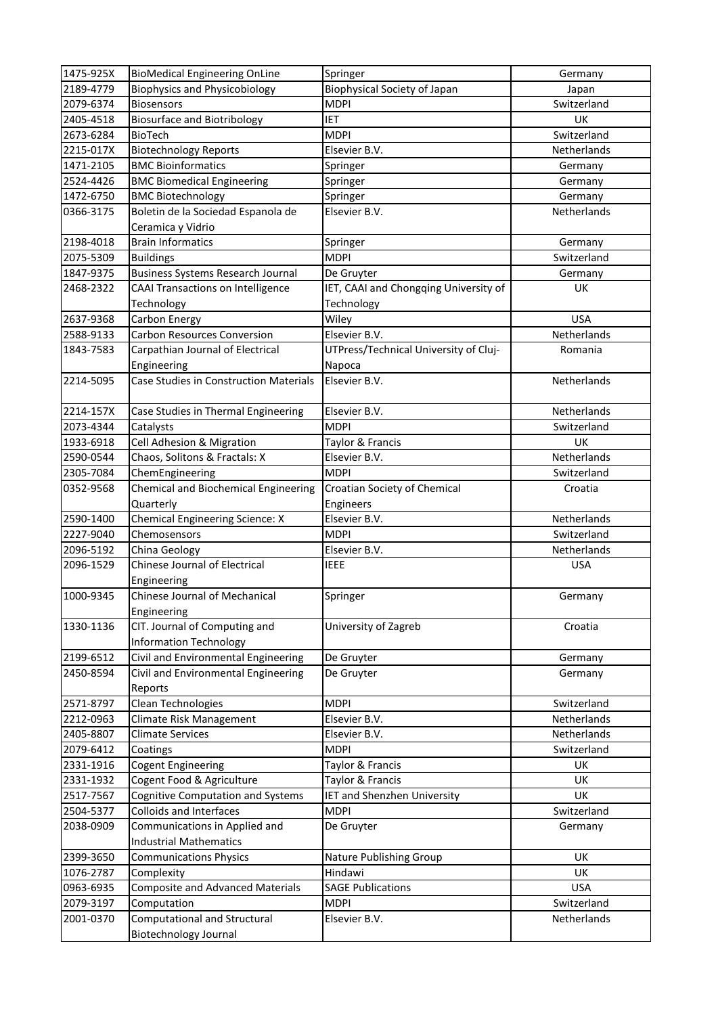| 1475-925X | <b>BioMedical Engineering OnLine</b>          | Springer                              | Germany     |
|-----------|-----------------------------------------------|---------------------------------------|-------------|
| 2189-4779 | <b>Biophysics and Physicobiology</b>          | <b>Biophysical Society of Japan</b>   | Japan       |
| 2079-6374 | <b>Biosensors</b>                             | <b>MDPI</b>                           | Switzerland |
| 2405-4518 | <b>Biosurface and Biotribology</b>            | <b>IET</b>                            | <b>UK</b>   |
| 2673-6284 | <b>BioTech</b>                                | <b>MDPI</b>                           | Switzerland |
| 2215-017X | <b>Biotechnology Reports</b>                  | Elsevier B.V.                         | Netherlands |
| 1471-2105 | <b>BMC Bioinformatics</b>                     | Springer                              | Germany     |
| 2524-4426 | <b>BMC Biomedical Engineering</b>             | Springer                              | Germany     |
| 1472-6750 | <b>BMC Biotechnology</b>                      | Springer                              | Germany     |
| 0366-3175 | Boletin de la Sociedad Espanola de            | Elsevier B.V.                         | Netherlands |
|           | Ceramica y Vidrio                             |                                       |             |
| 2198-4018 | <b>Brain Informatics</b>                      | Springer                              | Germany     |
| 2075-5309 | <b>Buildings</b>                              | <b>MDPI</b>                           | Switzerland |
| 1847-9375 | <b>Business Systems Research Journal</b>      | De Gruyter                            | Germany     |
| 2468-2322 | CAAI Transactions on Intelligence             | IET, CAAI and Chongqing University of | UK          |
|           | Technology                                    | Technology                            |             |
| 2637-9368 | Carbon Energy                                 | Wiley                                 | <b>USA</b>  |
| 2588-9133 | <b>Carbon Resources Conversion</b>            | Elsevier B.V.                         | Netherlands |
| 1843-7583 | Carpathian Journal of Electrical              | UTPress/Technical University of Cluj- | Romania     |
|           | Engineering                                   | Napoca                                |             |
| 2214-5095 | <b>Case Studies in Construction Materials</b> | Elsevier B.V.                         | Netherlands |
|           |                                               |                                       |             |
| 2214-157X | Case Studies in Thermal Engineering           | Elsevier B.V.                         | Netherlands |
| 2073-4344 | Catalysts                                     | <b>MDPI</b>                           | Switzerland |
| 1933-6918 | Cell Adhesion & Migration                     | Taylor & Francis                      | UK          |
| 2590-0544 | Chaos, Solitons & Fractals: X                 | Elsevier B.V.                         | Netherlands |
| 2305-7084 | ChemEngineering                               | <b>MDPI</b>                           | Switzerland |
| 0352-9568 | Chemical and Biochemical Engineering          | Croatian Society of Chemical          | Croatia     |
|           | Quarterly                                     | Engineers                             |             |
| 2590-1400 | Chemical Engineering Science: X               | Elsevier B.V.                         | Netherlands |
| 2227-9040 | Chemosensors                                  | <b>MDPI</b>                           | Switzerland |
| 2096-5192 | China Geology                                 | Elsevier B.V.                         | Netherlands |
| 2096-1529 | Chinese Journal of Electrical                 | <b>IEEE</b>                           | <b>USA</b>  |
|           | Engineering                                   |                                       |             |
| 1000-9345 | Chinese Journal of Mechanical                 | Springer                              | Germany     |
|           | Engineering                                   |                                       |             |
| 1330-1136 | CIT. Journal of Computing and                 | University of Zagreb                  | Croatia     |
|           | <b>Information Technology</b>                 |                                       |             |
| 2199-6512 | Civil and Environmental Engineering           | De Gruyter                            | Germany     |
| 2450-8594 | Civil and Environmental Engineering           | De Gruyter                            | Germany     |
|           | Reports                                       |                                       |             |
| 2571-8797 | Clean Technologies                            | <b>MDPI</b>                           | Switzerland |
| 2212-0963 | Climate Risk Management                       | Elsevier B.V.                         | Netherlands |
| 2405-8807 | <b>Climate Services</b>                       | Elsevier B.V.                         | Netherlands |
| 2079-6412 | Coatings                                      | <b>MDPI</b>                           | Switzerland |
| 2331-1916 | <b>Cogent Engineering</b>                     | Taylor & Francis                      | UK          |
| 2331-1932 | Cogent Food & Agriculture                     | Taylor & Francis                      | <b>UK</b>   |
| 2517-7567 | Cognitive Computation and Systems             | <b>IET and Shenzhen University</b>    | UK          |
| 2504-5377 | <b>Colloids and Interfaces</b>                | <b>MDPI</b>                           | Switzerland |
| 2038-0909 | Communications in Applied and                 | De Gruyter                            | Germany     |
|           | <b>Industrial Mathematics</b>                 |                                       |             |
| 2399-3650 | <b>Communications Physics</b>                 | Nature Publishing Group               | UK          |
| 1076-2787 | Complexity                                    | Hindawi                               | UK          |
| 0963-6935 | <b>Composite and Advanced Materials</b>       | <b>SAGE Publications</b>              | <b>USA</b>  |
| 2079-3197 | Computation                                   | <b>MDPI</b>                           | Switzerland |
| 2001-0370 | <b>Computational and Structural</b>           | Elsevier B.V.                         | Netherlands |
|           | <b>Biotechnology Journal</b>                  |                                       |             |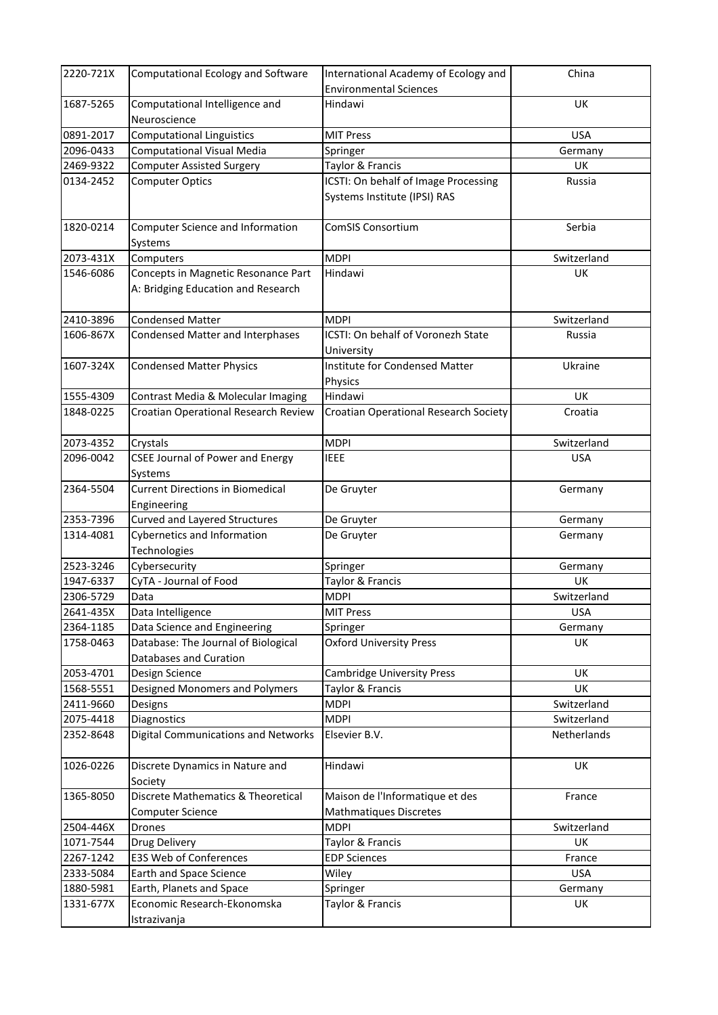| 2220-721X | Computational Ecology and Software                                        | International Academy of Ecology and                      | China       |
|-----------|---------------------------------------------------------------------------|-----------------------------------------------------------|-------------|
|           |                                                                           | <b>Environmental Sciences</b>                             |             |
| 1687-5265 | Computational Intelligence and<br>Neuroscience                            | Hindawi                                                   | UK          |
| 0891-2017 | <b>Computational Linguistics</b>                                          | <b>MIT Press</b>                                          | <b>USA</b>  |
| 2096-0433 | Computational Visual Media                                                | Springer                                                  | Germany     |
| 2469-9322 | <b>Computer Assisted Surgery</b>                                          | Taylor & Francis                                          | UK          |
| 0134-2452 | <b>Computer Optics</b>                                                    | ICSTI: On behalf of Image Processing                      | Russia      |
|           |                                                                           | Systems Institute (IPSI) RAS                              |             |
| 1820-0214 | Computer Science and Information<br>Systems                               | <b>ComSIS Consortium</b>                                  | Serbia      |
| 2073-431X | Computers                                                                 | <b>MDPI</b>                                               | Switzerland |
| 1546-6086 | Concepts in Magnetic Resonance Part<br>A: Bridging Education and Research | Hindawi                                                   | <b>UK</b>   |
| 2410-3896 | <b>Condensed Matter</b>                                                   | <b>MDPI</b>                                               | Switzerland |
| 1606-867X | Condensed Matter and Interphases                                          | ICSTI: On behalf of Voronezh State<br>University          | Russia      |
| 1607-324X | <b>Condensed Matter Physics</b>                                           | <b>Institute for Condensed Matter</b><br>Physics          | Ukraine     |
| 1555-4309 | Contrast Media & Molecular Imaging                                        | Hindawi                                                   | UK          |
| 1848-0225 | Croatian Operational Research Review                                      | Croatian Operational Research Society                     | Croatia     |
| 2073-4352 | Crystals                                                                  | <b>MDPI</b>                                               | Switzerland |
| 2096-0042 | <b>CSEE Journal of Power and Energy</b><br>Systems                        | <b>IEEE</b>                                               | <b>USA</b>  |
| 2364-5504 | <b>Current Directions in Biomedical</b>                                   | De Gruyter                                                | Germany     |
|           | Engineering                                                               |                                                           |             |
| 2353-7396 | Curved and Layered Structures                                             | De Gruyter                                                | Germany     |
| 1314-4081 | Cybernetics and Information<br>Technologies                               | De Gruyter                                                | Germany     |
| 2523-3246 | Cybersecurity                                                             | Springer                                                  | Germany     |
| 1947-6337 | CyTA - Journal of Food                                                    | Taylor & Francis                                          | UK          |
| 2306-5729 | Data                                                                      | <b>MDPI</b>                                               | Switzerland |
| 2641-435X | Data Intelligence                                                         | <b>MIT Press</b>                                          | <b>USA</b>  |
| 2364-1185 | Data Science and Engineering                                              | Springer                                                  | Germany     |
| 1758-0463 | Database: The Journal of Biological                                       | <b>Oxford University Press</b>                            | <b>UK</b>   |
| 2053-4701 | Databases and Curation<br>Design Science                                  | <b>Cambridge University Press</b>                         | UK          |
| 1568-5551 | Designed Monomers and Polymers                                            | Taylor & Francis                                          | UK          |
| 2411-9660 | Designs                                                                   | <b>MDPI</b>                                               | Switzerland |
| 2075-4418 | Diagnostics                                                               | <b>MDPI</b>                                               | Switzerland |
| 2352-8648 | Digital Communications and Networks                                       | Elsevier B.V.                                             | Netherlands |
| 1026-0226 | Discrete Dynamics in Nature and<br>Society                                | Hindawi                                                   | UK          |
| 1365-8050 | Discrete Mathematics & Theoretical<br>Computer Science                    | Maison de l'Informatique et des<br>Mathmatiques Discretes | France      |
| 2504-446X | Drones                                                                    | <b>MDPI</b>                                               | Switzerland |
| 1071-7544 | Drug Delivery                                                             | Taylor & Francis                                          | UK          |
| 2267-1242 | E3S Web of Conferences                                                    | <b>EDP Sciences</b>                                       | France      |
| 2333-5084 | Earth and Space Science                                                   | Wiley                                                     | <b>USA</b>  |
| 1880-5981 | Earth, Planets and Space                                                  | Springer                                                  | Germany     |
| 1331-677X | Economic Research-Ekonomska<br>Istrazivanja                               | Taylor & Francis                                          | UK          |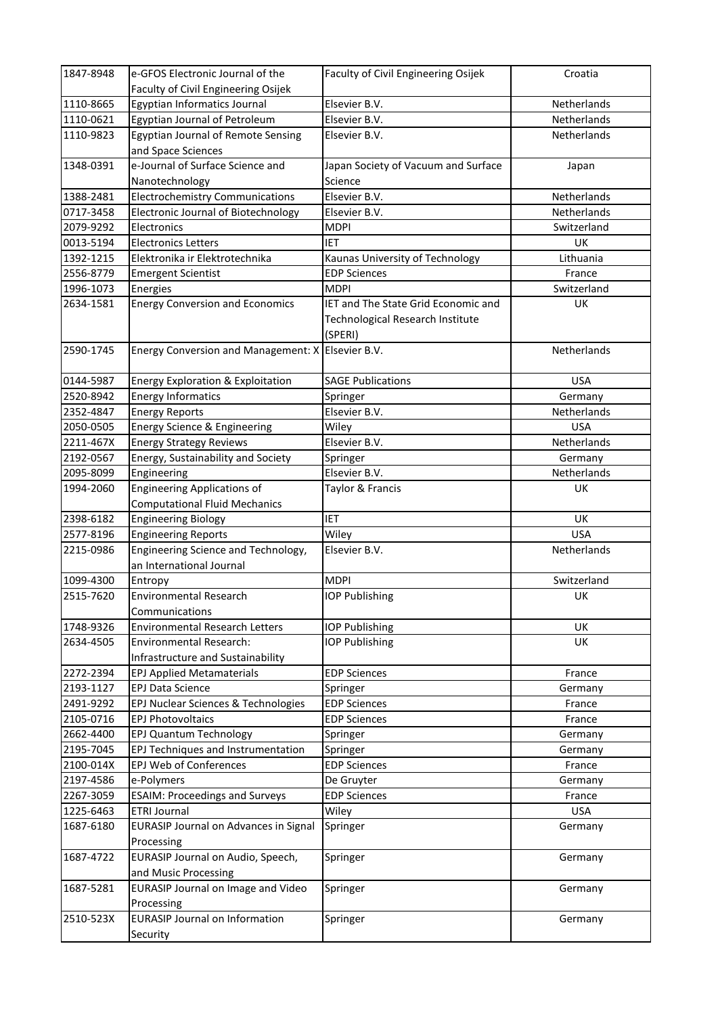| 1847-8948 | e-GFOS Electronic Journal of the                  | Faculty of Civil Engineering Osijek | Croatia            |
|-----------|---------------------------------------------------|-------------------------------------|--------------------|
|           | Faculty of Civil Engineering Osijek               |                                     |                    |
| 1110-8665 | Egyptian Informatics Journal                      | Elsevier B.V.                       | Netherlands        |
| 1110-0621 | <b>Egyptian Journal of Petroleum</b>              | Elsevier B.V.                       | Netherlands        |
| 1110-9823 | Egyptian Journal of Remote Sensing                | Elsevier B.V.                       | <b>Netherlands</b> |
|           | and Space Sciences                                |                                     |                    |
| 1348-0391 | e-Journal of Surface Science and                  | Japan Society of Vacuum and Surface | Japan              |
|           | Nanotechnology                                    | Science                             |                    |
| 1388-2481 | <b>Electrochemistry Communications</b>            | Elsevier B.V.                       | Netherlands        |
| 0717-3458 | Electronic Journal of Biotechnology               | Elsevier B.V.                       | Netherlands        |
| 2079-9292 | Electronics                                       | <b>MDPI</b>                         | Switzerland        |
| 0013-5194 | <b>Electronics Letters</b>                        | <b>IET</b>                          | UK                 |
| 1392-1215 | Elektronika ir Elektrotechnika                    | Kaunas University of Technology     | Lithuania          |
| 2556-8779 | <b>Emergent Scientist</b>                         | <b>EDP Sciences</b>                 | France             |
| 1996-1073 | Energies                                          | <b>MDPI</b>                         | Switzerland        |
| 2634-1581 | <b>Energy Conversion and Economics</b>            | IET and The State Grid Economic and | UK                 |
|           |                                                   | Technological Research Institute    |                    |
|           |                                                   | (SPERI)                             |                    |
| 2590-1745 | Energy Conversion and Management: X Elsevier B.V. |                                     | Netherlands        |
|           |                                                   |                                     |                    |
| 0144-5987 | Energy Exploration & Exploitation                 | <b>SAGE Publications</b>            | <b>USA</b>         |
| 2520-8942 | <b>Energy Informatics</b>                         | Springer                            | Germany            |
| 2352-4847 | <b>Energy Reports</b>                             | Elsevier B.V.                       | Netherlands        |
| 2050-0505 | Energy Science & Engineering                      | Wiley                               | <b>USA</b>         |
| 2211-467X | <b>Energy Strategy Reviews</b>                    | Elsevier B.V.                       | Netherlands        |
| 2192-0567 | Energy, Sustainability and Society                | Springer                            | Germany            |
| 2095-8099 | Engineering                                       | Elsevier B.V.                       | Netherlands        |
| 1994-2060 | Engineering Applications of                       | Taylor & Francis                    | <b>UK</b>          |
|           | <b>Computational Fluid Mechanics</b>              |                                     |                    |
| 2398-6182 | <b>Engineering Biology</b>                        | <b>IET</b>                          | UK                 |
| 2577-8196 | <b>Engineering Reports</b>                        | Wiley                               | <b>USA</b>         |
| 2215-0986 | Engineering Science and Technology,               | Elsevier B.V.                       | Netherlands        |
|           | an International Journal                          |                                     |                    |
| 1099-4300 | Entropy                                           | <b>MDPI</b>                         | Switzerland        |
| 2515-7620 | <b>Environmental Research</b>                     | <b>IOP Publishing</b>               | UK                 |
|           | Communications                                    |                                     |                    |
| 1748-9326 | <b>Environmental Research Letters</b>             | <b>IOP Publishing</b>               | <b>UK</b>          |
| 2634-4505 | <b>Environmental Research:</b>                    | <b>IOP Publishing</b>               | UK                 |
|           | Infrastructure and Sustainability                 |                                     |                    |
| 2272-2394 | <b>EPJ Applied Metamaterials</b>                  | <b>EDP Sciences</b>                 | France             |
| 2193-1127 | <b>EPJ Data Science</b>                           | Springer                            | Germany            |
| 2491-9292 | EPJ Nuclear Sciences & Technologies               | <b>EDP Sciences</b>                 | France             |
| 2105-0716 | <b>EPJ Photovoltaics</b>                          | <b>EDP Sciences</b>                 | France             |
| 2662-4400 | EPJ Quantum Technology                            | Springer                            | Germany            |
| 2195-7045 | EPJ Techniques and Instrumentation                | Springer                            | Germany            |
| 2100-014X | EPJ Web of Conferences                            | <b>EDP Sciences</b>                 | France             |
| 2197-4586 | e-Polymers                                        | De Gruyter                          | Germany            |
| 2267-3059 | <b>ESAIM: Proceedings and Surveys</b>             | <b>EDP Sciences</b>                 | France             |
| 1225-6463 | ETRI Journal                                      | Wiley                               | <b>USA</b>         |
| 1687-6180 | EURASIP Journal on Advances in Signal             | Springer                            | Germany            |
|           | Processing                                        |                                     |                    |
| 1687-4722 | EURASIP Journal on Audio, Speech,                 | Springer                            | Germany            |
|           | and Music Processing                              |                                     |                    |
| 1687-5281 | EURASIP Journal on Image and Video                | Springer                            | Germany            |
|           | Processing                                        |                                     |                    |
| 2510-523X | <b>EURASIP Journal on Information</b>             | Springer                            | Germany            |
|           | Security                                          |                                     |                    |
|           |                                                   |                                     |                    |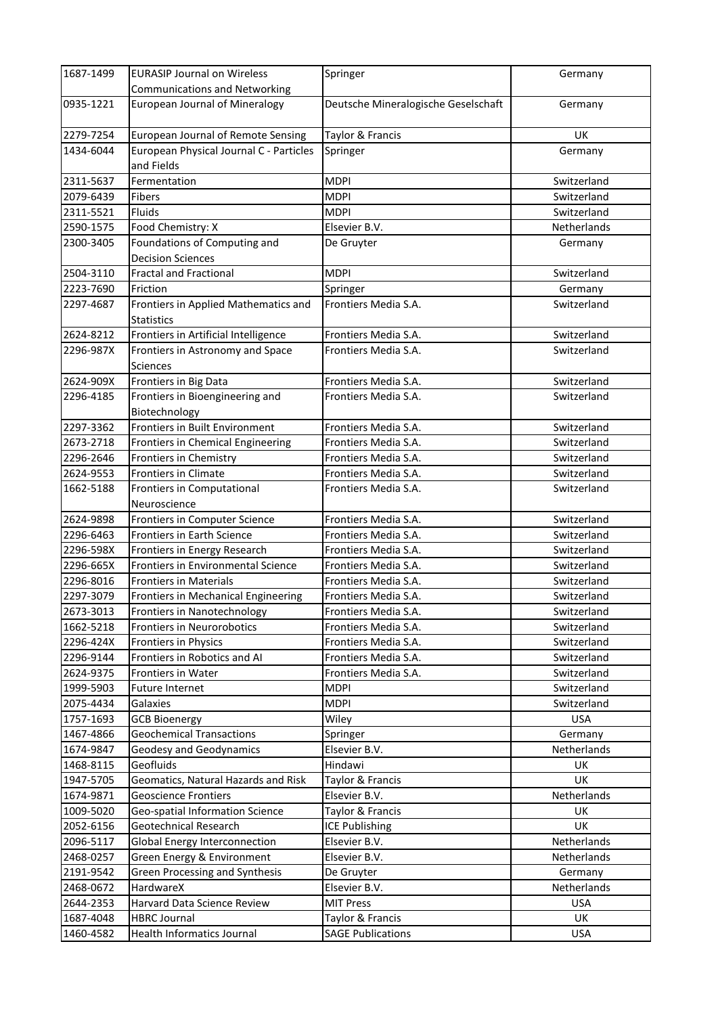| 1687-1499 | <b>EURASIP Journal on Wireless</b>                        | Springer                            | Germany     |
|-----------|-----------------------------------------------------------|-------------------------------------|-------------|
|           | <b>Communications and Networking</b>                      |                                     |             |
| 0935-1221 | <b>European Journal of Mineralogy</b>                     | Deutsche Mineralogische Geselschaft | Germany     |
| 2279-7254 | <b>European Journal of Remote Sensing</b>                 | Taylor & Francis                    | <b>UK</b>   |
| 1434-6044 | European Physical Journal C - Particles<br>and Fields     | Springer                            | Germany     |
| 2311-5637 | Fermentation                                              | <b>MDPI</b>                         | Switzerland |
| 2079-6439 | <b>Fibers</b>                                             | <b>MDPI</b>                         | Switzerland |
| 2311-5521 | <b>Fluids</b>                                             | MDPI                                | Switzerland |
| 2590-1575 | Food Chemistry: X                                         | Elsevier B.V.                       | Netherlands |
| 2300-3405 | Foundations of Computing and                              | De Gruyter                          | Germany     |
|           | <b>Decision Sciences</b>                                  |                                     |             |
| 2504-3110 | <b>Fractal and Fractional</b>                             | <b>MDPI</b>                         | Switzerland |
| 2223-7690 | Friction                                                  | Springer                            | Germany     |
| 2297-4687 | Frontiers in Applied Mathematics and<br><b>Statistics</b> | Frontiers Media S.A.                | Switzerland |
| 2624-8212 | Frontiers in Artificial Intelligence                      | Frontiers Media S.A.                | Switzerland |
| 2296-987X | Frontiers in Astronomy and Space                          | Frontiers Media S.A.                | Switzerland |
|           | <b>Sciences</b>                                           |                                     |             |
| 2624-909X | Frontiers in Big Data                                     | Frontiers Media S.A.                | Switzerland |
| 2296-4185 | Frontiers in Bioengineering and                           | Frontiers Media S.A.                | Switzerland |
|           | Biotechnology                                             |                                     |             |
| 2297-3362 | Frontiers in Built Environment                            | Frontiers Media S.A.                | Switzerland |
| 2673-2718 | Frontiers in Chemical Engineering                         | Frontiers Media S.A.                | Switzerland |
| 2296-2646 | Frontiers in Chemistry                                    | Frontiers Media S.A.                | Switzerland |
| 2624-9553 | Frontiers in Climate                                      | Frontiers Media S.A.                | Switzerland |
| 1662-5188 | Frontiers in Computational<br>Neuroscience                | Frontiers Media S.A.                | Switzerland |
| 2624-9898 | Frontiers in Computer Science                             | Frontiers Media S.A.                | Switzerland |
| 2296-6463 | Frontiers in Earth Science                                | Frontiers Media S.A.                | Switzerland |
| 2296-598X | Frontiers in Energy Research                              | Frontiers Media S.A.                | Switzerland |
| 2296-665X | Frontiers in Environmental Science                        | Frontiers Media S.A.                | Switzerland |
| 2296-8016 | <b>Frontiers in Materials</b>                             | Frontiers Media S.A.                | Switzerland |
| 2297-3079 | Frontiers in Mechanical Engineering                       | Frontiers Media S.A.                | Switzerland |
| 2673-3013 | Frontiers in Nanotechnology                               | Frontiers Media S.A.                | Switzerland |
| 1662-5218 | Frontiers in Neurorobotics                                | Frontiers Media S.A.                | Switzerland |
| 2296-424X | Frontiers in Physics                                      | Frontiers Media S.A.                | Switzerland |
| 2296-9144 | Frontiers in Robotics and AI                              | Frontiers Media S.A.                | Switzerland |
| 2624-9375 | Frontiers in Water                                        | Frontiers Media S.A.                | Switzerland |
| 1999-5903 | <b>Future Internet</b>                                    | <b>MDPI</b>                         | Switzerland |
| 2075-4434 | Galaxies                                                  | <b>MDPI</b>                         | Switzerland |
| 1757-1693 | <b>GCB Bioenergy</b>                                      | Wiley                               | <b>USA</b>  |
| 1467-4866 | <b>Geochemical Transactions</b>                           | Springer                            | Germany     |
| 1674-9847 | <b>Geodesy and Geodynamics</b>                            | Elsevier B.V.                       | Netherlands |
| 1468-8115 | Geofluids                                                 | Hindawi                             | UK          |
| 1947-5705 | Geomatics, Natural Hazards and Risk                       | Taylor & Francis                    | UK          |
| 1674-9871 | <b>Geoscience Frontiers</b>                               | Elsevier B.V.                       | Netherlands |
| 1009-5020 | Geo-spatial Information Science                           | Taylor & Francis                    | UK          |
| 2052-6156 | Geotechnical Research                                     | ICE Publishing                      | UK          |
| 2096-5117 | <b>Global Energy Interconnection</b>                      | Elsevier B.V.                       | Netherlands |
| 2468-0257 | Green Energy & Environment                                | Elsevier B.V.                       | Netherlands |
| 2191-9542 | <b>Green Processing and Synthesis</b>                     | De Gruyter                          | Germany     |
| 2468-0672 | HardwareX                                                 | Elsevier B.V.                       | Netherlands |
| 2644-2353 | Harvard Data Science Review                               | <b>MIT Press</b>                    | <b>USA</b>  |
| 1687-4048 | <b>HBRC Journal</b>                                       | Taylor & Francis                    | UK          |
| 1460-4582 | Health Informatics Journal                                | <b>SAGE Publications</b>            | <b>USA</b>  |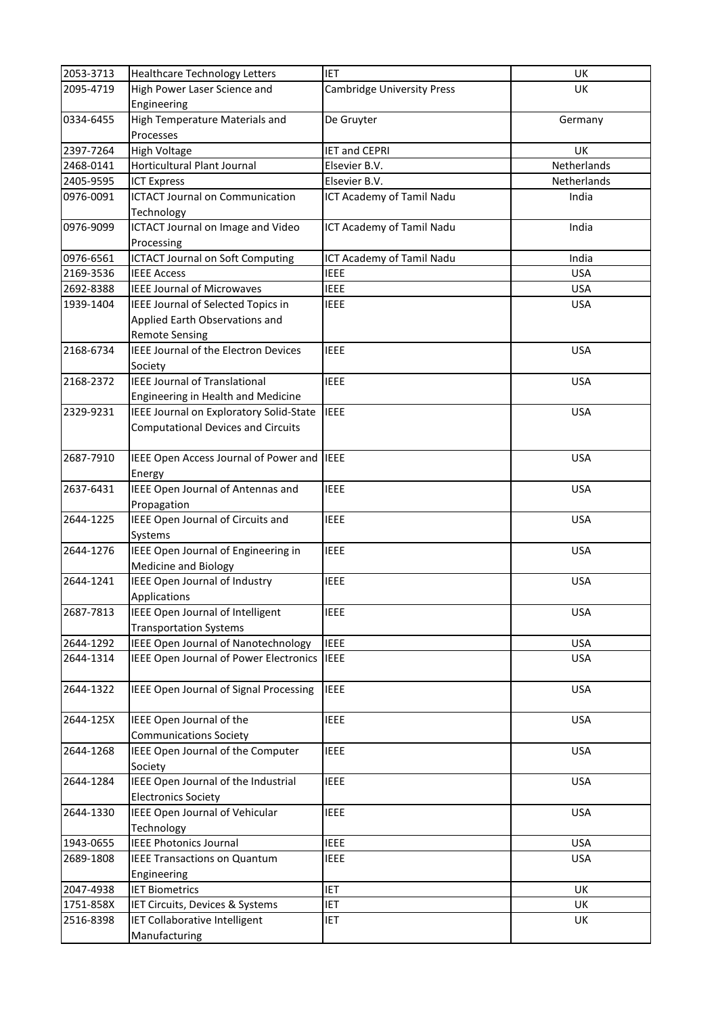| 2053-3713 | <b>Healthcare Technology Letters</b>        | <b>IET</b>                        | UK          |
|-----------|---------------------------------------------|-----------------------------------|-------------|
| 2095-4719 | High Power Laser Science and                | <b>Cambridge University Press</b> | <b>UK</b>   |
|           | Engineering                                 |                                   |             |
| 0334-6455 | High Temperature Materials and              | De Gruyter                        | Germany     |
|           | Processes                                   |                                   |             |
| 2397-7264 | <b>High Voltage</b>                         | <b>IET and CEPRI</b>              | <b>UK</b>   |
| 2468-0141 | Horticultural Plant Journal                 | Elsevier B.V.                     | Netherlands |
| 2405-9595 | <b>ICT Express</b>                          | Elsevier B.V.                     | Netherlands |
| 0976-0091 | <b>ICTACT Journal on Communication</b>      | ICT Academy of Tamil Nadu         | India       |
|           | Technology                                  |                                   |             |
| 0976-9099 | ICTACT Journal on Image and Video           | ICT Academy of Tamil Nadu         | India       |
|           | Processing                                  |                                   |             |
| 0976-6561 | <b>ICTACT Journal on Soft Computing</b>     | ICT Academy of Tamil Nadu         | India       |
| 2169-3536 | <b>IEEE Access</b>                          | <b>IEEE</b>                       | <b>USA</b>  |
| 2692-8388 | <b>IEEE Journal of Microwaves</b>           | <b>IEEE</b>                       | <b>USA</b>  |
|           | IEEE Journal of Selected Topics in          |                                   | <b>USA</b>  |
| 1939-1404 |                                             | <b>IEEE</b>                       |             |
|           | Applied Earth Observations and              |                                   |             |
|           | <b>Remote Sensing</b>                       |                                   |             |
| 2168-6734 | <b>IEEE Journal of the Electron Devices</b> | <b>IEEE</b>                       | <b>USA</b>  |
|           | Society                                     |                                   |             |
| 2168-2372 | <b>IEEE Journal of Translational</b>        | <b>IEEE</b>                       | <b>USA</b>  |
|           | Engineering in Health and Medicine          |                                   |             |
| 2329-9231 | IEEE Journal on Exploratory Solid-State     | <b>IEEE</b>                       | <b>USA</b>  |
|           | <b>Computational Devices and Circuits</b>   |                                   |             |
|           |                                             |                                   |             |
| 2687-7910 | IEEE Open Access Journal of Power and       | <b>IEEE</b>                       | <b>USA</b>  |
|           | Energy                                      |                                   |             |
| 2637-6431 | IEEE Open Journal of Antennas and           | <b>IEEE</b>                       | <b>USA</b>  |
|           | Propagation                                 |                                   |             |
| 2644-1225 | IEEE Open Journal of Circuits and           | <b>IEEE</b>                       | <b>USA</b>  |
|           | Systems                                     |                                   |             |
| 2644-1276 | IEEE Open Journal of Engineering in         | <b>IEEE</b>                       | <b>USA</b>  |
|           | <b>Medicine and Biology</b>                 |                                   |             |
| 2644-1241 | IEEE Open Journal of Industry               | <b>IEEE</b>                       | <b>USA</b>  |
|           | Applications                                |                                   |             |
| 2687-7813 | IEEE Open Journal of Intelligent            | <b>IEEE</b>                       | <b>USA</b>  |
|           | <b>Transportation Systems</b>               |                                   |             |
| 2644-1292 | <b>IEEE Open Journal of Nanotechnology</b>  | <b>IEEE</b>                       | <b>USA</b>  |
| 2644-1314 | IEEE Open Journal of Power Electronics IEEE |                                   | <b>USA</b>  |
|           |                                             |                                   |             |
| 2644-1322 | IEEE Open Journal of Signal Processing      | <b>IEEE</b>                       | <b>USA</b>  |
|           |                                             |                                   |             |
| 2644-125X | IEEE Open Journal of the                    | <b>IEEE</b>                       | <b>USA</b>  |
|           | <b>Communications Society</b>               |                                   |             |
| 2644-1268 | IEEE Open Journal of the Computer           | <b>IEEE</b>                       | <b>USA</b>  |
|           | Society                                     |                                   |             |
| 2644-1284 | IEEE Open Journal of the Industrial         | <b>IEEE</b>                       | <b>USA</b>  |
|           | <b>Electronics Society</b>                  |                                   |             |
| 2644-1330 | IEEE Open Journal of Vehicular              | <b>IEEE</b>                       | <b>USA</b>  |
|           | Technology                                  |                                   |             |
| 1943-0655 | <b>IEEE Photonics Journal</b>               | <b>IEEE</b>                       | <b>USA</b>  |
| 2689-1808 | <b>IEEE Transactions on Quantum</b>         | <b>IEEE</b>                       | <b>USA</b>  |
|           | Engineering                                 |                                   |             |
| 2047-4938 | <b>IET Biometrics</b>                       | <b>IET</b>                        | UK          |
| 1751-858X | IET Circuits, Devices & Systems             | IET                               | UK          |
| 2516-8398 | IET Collaborative Intelligent               | IET                               | UK          |
|           | Manufacturing                               |                                   |             |
|           |                                             |                                   |             |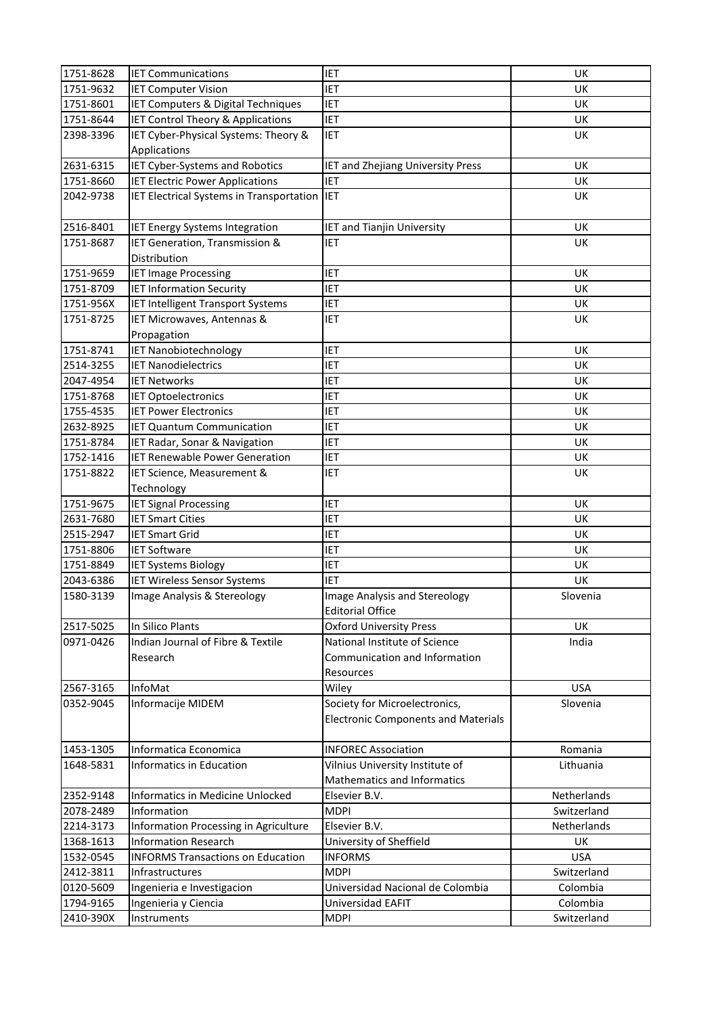| 1751-8628 | <b>IET Communications</b>                    | <b>IET</b>                                 | <b>UK</b>   |
|-----------|----------------------------------------------|--------------------------------------------|-------------|
| 1751-9632 | <b>IET Computer Vision</b>                   | <b>IET</b>                                 | UK          |
| 1751-8601 | IET Computers & Digital Techniques           | <b>IET</b>                                 | UK          |
| 1751-8644 | <b>IET Control Theory &amp; Applications</b> | <b>IET</b>                                 | UK          |
| 2398-3396 | IET Cyber-Physical Systems: Theory &         | <b>IET</b>                                 | <b>UK</b>   |
|           | Applications                                 |                                            |             |
| 2631-6315 | IET Cyber-Systems and Robotics               | IET and Zhejiang University Press          | UK          |
| 1751-8660 | <b>IET Electric Power Applications</b>       | <b>IET</b>                                 | UK          |
| 2042-9738 | IET Electrical Systems in Transportation     | <b>IET</b>                                 | UK          |
|           |                                              |                                            |             |
| 2516-8401 | IET Energy Systems Integration               | <b>IET and Tianjin University</b>          | UK          |
| 1751-8687 | IET Generation, Transmission &               | <b>IET</b>                                 | UK          |
|           | Distribution                                 |                                            |             |
| 1751-9659 | <b>IET Image Processing</b>                  | IET                                        | <b>UK</b>   |
| 1751-8709 | <b>IET Information Security</b>              | <b>IET</b>                                 | UK          |
| 1751-956X | <b>IET Intelligent Transport Systems</b>     | IET                                        | UK          |
| 1751-8725 | IET Microwaves, Antennas &                   | <b>IET</b>                                 | <b>UK</b>   |
|           | Propagation                                  |                                            |             |
| 1751-8741 | <b>IET Nanobiotechnology</b>                 | <b>IET</b>                                 | UK          |
| 2514-3255 | <b>IET Nanodielectrics</b>                   | <b>IET</b>                                 | UK          |
| 2047-4954 | <b>IET Networks</b>                          | <b>IET</b>                                 | <b>UK</b>   |
| 1751-8768 | <b>IET Optoelectronics</b>                   | <b>IET</b>                                 | UK          |
| 1755-4535 | <b>IET Power Electronics</b>                 | <b>IET</b>                                 | UK          |
| 2632-8925 | <b>IET Quantum Communication</b>             | IET                                        | UK          |
| 1751-8784 | IET Radar, Sonar & Navigation                | IET                                        | UK          |
| 1752-1416 | <b>IET Renewable Power Generation</b>        | IET                                        | UK          |
| 1751-8822 | IET Science, Measurement &                   | <b>IET</b>                                 | UK          |
|           | Technology                                   |                                            |             |
| 1751-9675 | <b>IET Signal Processing</b>                 | <b>IET</b>                                 | UK          |
| 2631-7680 | <b>IET Smart Cities</b>                      | IET                                        | UK          |
| 2515-2947 | <b>IET Smart Grid</b>                        | <b>IET</b>                                 | UK          |
| 1751-8806 | <b>IET Software</b>                          | IET                                        | UK          |
| 1751-8849 | <b>IET Systems Biology</b>                   | <b>IET</b>                                 | UK          |
| 2043-6386 | <b>IET Wireless Sensor Systems</b>           | <b>IET</b>                                 | UK          |
| 1580-3139 | Image Analysis & Stereology                  | Image Analysis and Stereology              | Slovenia    |
|           |                                              | <b>Editorial Office</b>                    |             |
| 2517-5025 | In Silico Plants                             | <b>Oxford University Press</b>             | UK          |
| 0971-0426 | Indian Journal of Fibre & Textile            | National Institute of Science              | India       |
|           | Research                                     | Communication and Information              |             |
|           |                                              | Resources                                  |             |
| 2567-3165 | InfoMat                                      | Wiley                                      | <b>USA</b>  |
| 0352-9045 | Informacije MIDEM                            | Society for Microelectronics,              | Slovenia    |
|           |                                              | <b>Electronic Components and Materials</b> |             |
|           |                                              |                                            |             |
| 1453-1305 | Informatica Economica                        | <b>INFOREC Association</b>                 | Romania     |
| 1648-5831 | Informatics in Education                     | Vilnius University Institute of            | Lithuania   |
|           |                                              | Mathematics and Informatics                |             |
| 2352-9148 | Informatics in Medicine Unlocked             | Elsevier B.V.                              | Netherlands |
| 2078-2489 | Information                                  | <b>MDPI</b>                                | Switzerland |
| 2214-3173 | Information Processing in Agriculture        | Elsevier B.V.                              | Netherlands |
| 1368-1613 | <b>Information Research</b>                  | University of Sheffield                    | UK          |
| 1532-0545 | <b>INFORMS Transactions on Education</b>     | <b>INFORMS</b>                             | <b>USA</b>  |
| 2412-3811 | Infrastructures                              | <b>MDPI</b>                                | Switzerland |
| 0120-5609 | Ingenieria e Investigacion                   | Universidad Nacional de Colombia           | Colombia    |
| 1794-9165 | Ingenieria y Ciencia                         | Universidad EAFIT                          | Colombia    |
| 2410-390X | Instruments                                  |                                            | Switzerland |
|           |                                              | <b>MDPI</b>                                |             |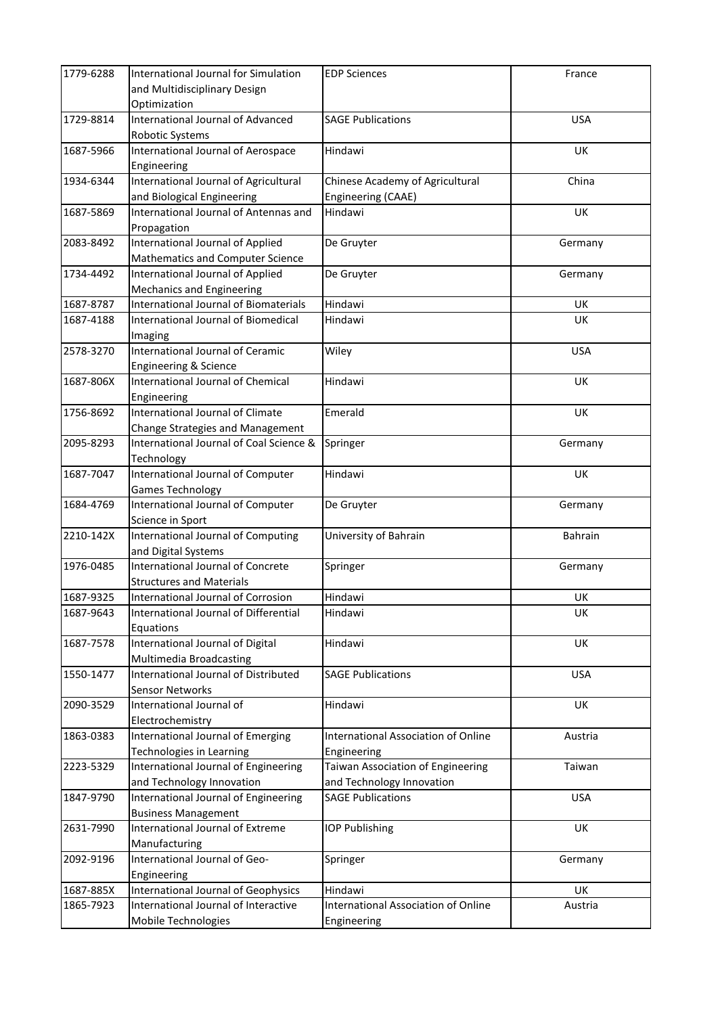| 1779-6288 | International Journal for Simulation         | <b>EDP Sciences</b>                        | France     |
|-----------|----------------------------------------------|--------------------------------------------|------------|
|           | and Multidisciplinary Design                 |                                            |            |
|           | Optimization                                 |                                            |            |
| 1729-8814 | <b>International Journal of Advanced</b>     | <b>SAGE Publications</b>                   | <b>USA</b> |
|           | Robotic Systems                              |                                            |            |
| 1687-5966 | International Journal of Aerospace           | Hindawi                                    | UK         |
|           | Engineering                                  |                                            |            |
| 1934-6344 | International Journal of Agricultural        | Chinese Academy of Agricultural            | China      |
|           | and Biological Engineering                   | Engineering (CAAE)                         |            |
| 1687-5869 | International Journal of Antennas and        | Hindawi                                    | UK         |
|           | Propagation                                  |                                            |            |
| 2083-8492 | International Journal of Applied             | De Gruyter                                 | Germany    |
|           | Mathematics and Computer Science             |                                            |            |
| 1734-4492 | International Journal of Applied             | De Gruyter                                 | Germany    |
|           | Mechanics and Engineering                    |                                            |            |
| 1687-8787 | <b>International Journal of Biomaterials</b> | Hindawi                                    | UK         |
| 1687-4188 | International Journal of Biomedical          | Hindawi                                    | <b>UK</b>  |
|           | Imaging                                      |                                            |            |
| 2578-3270 | International Journal of Ceramic             | Wiley                                      | <b>USA</b> |
|           | <b>Engineering &amp; Science</b>             |                                            |            |
| 1687-806X | International Journal of Chemical            | Hindawi                                    | UK         |
|           | Engineering                                  |                                            |            |
| 1756-8692 | <b>International Journal of Climate</b>      | Emerald                                    | UK         |
|           | Change Strategies and Management             |                                            |            |
| 2095-8293 | International Journal of Coal Science &      | Springer                                   | Germany    |
|           | Technology                                   |                                            |            |
| 1687-7047 | International Journal of Computer            | Hindawi                                    | <b>UK</b>  |
|           | <b>Games Technology</b>                      |                                            |            |
| 1684-4769 | International Journal of Computer            | De Gruyter                                 | Germany    |
|           | Science in Sport                             |                                            |            |
| 2210-142X | International Journal of Computing           | University of Bahrain                      | Bahrain    |
|           | and Digital Systems                          |                                            |            |
| 1976-0485 | International Journal of Concrete            | Springer                                   | Germany    |
|           | <b>Structures and Materials</b>              |                                            |            |
| 1687-9325 | International Journal of Corrosion           | Hindawi                                    | <b>UK</b>  |
| 1687-9643 | International Journal of Differential        | Hindawi                                    | UK         |
|           | Equations                                    |                                            |            |
| 1687-7578 | International Journal of Digital             | Hindawi                                    | UK         |
|           | Multimedia Broadcasting                      |                                            |            |
| 1550-1477 | International Journal of Distributed         | <b>SAGE Publications</b>                   | <b>USA</b> |
|           | <b>Sensor Networks</b>                       |                                            |            |
| 2090-3529 | International Journal of                     | Hindawi                                    | UK         |
|           | Electrochemistry                             |                                            |            |
| 1863-0383 | International Journal of Emerging            | <b>International Association of Online</b> | Austria    |
|           | Technologies in Learning                     | Engineering                                |            |
| 2223-5329 | International Journal of Engineering         | Taiwan Association of Engineering          | Taiwan     |
|           | and Technology Innovation                    | and Technology Innovation                  |            |
| 1847-9790 | International Journal of Engineering         | <b>SAGE Publications</b>                   | <b>USA</b> |
|           | <b>Business Management</b>                   |                                            |            |
| 2631-7990 | International Journal of Extreme             | <b>IOP Publishing</b>                      | <b>UK</b>  |
|           | Manufacturing                                |                                            |            |
| 2092-9196 | International Journal of Geo-                | Springer                                   | Germany    |
|           | Engineering                                  |                                            |            |
| 1687-885X | International Journal of Geophysics          | Hindawi                                    | UK         |
| 1865-7923 | International Journal of Interactive         | International Association of Online        | Austria    |
|           | Mobile Technologies                          | Engineering                                |            |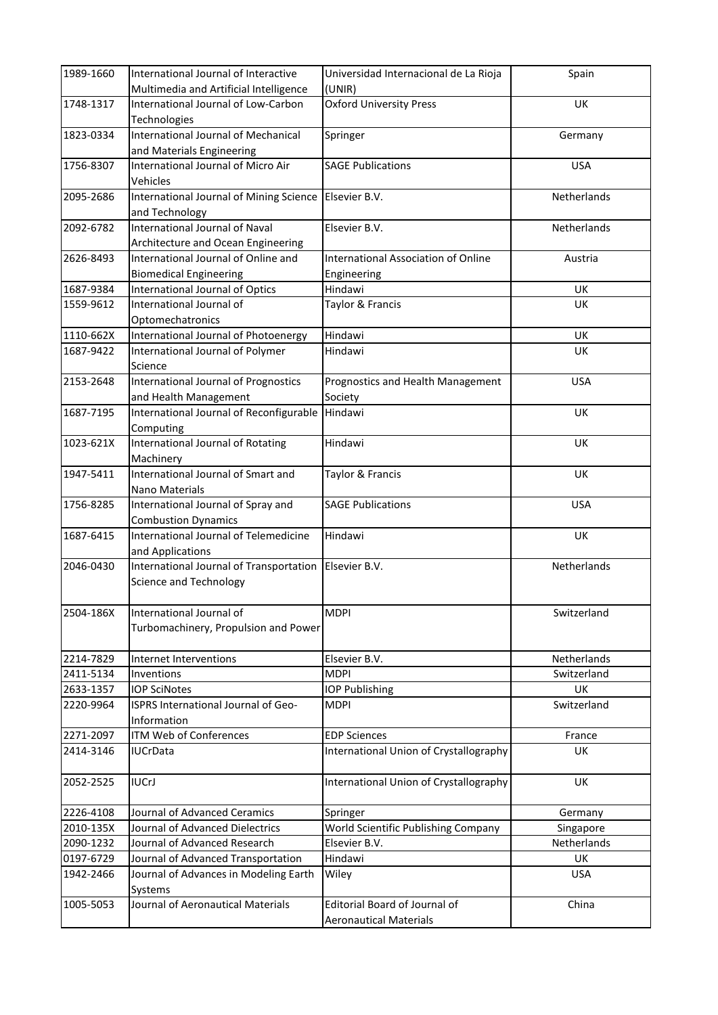| 1989-1660 | International Journal of Interactive                                    | Universidad Internacional de La Rioja      | Spain       |
|-----------|-------------------------------------------------------------------------|--------------------------------------------|-------------|
|           | Multimedia and Artificial Intelligence                                  | (UNIR)                                     |             |
| 1748-1317 | International Journal of Low-Carbon                                     | <b>Oxford University Press</b>             | <b>UK</b>   |
|           | Technologies                                                            |                                            |             |
| 1823-0334 | International Journal of Mechanical                                     | Springer                                   | Germany     |
|           | and Materials Engineering                                               |                                            |             |
| 1756-8307 | International Journal of Micro Air                                      | <b>SAGE Publications</b>                   | <b>USA</b>  |
|           | Vehicles                                                                |                                            |             |
| 2095-2686 | International Journal of Mining Science Elsevier B.V.<br>and Technology |                                            | Netherlands |
| 2092-6782 | International Journal of Naval                                          | Elsevier B.V.                              | Netherlands |
|           | Architecture and Ocean Engineering                                      |                                            |             |
| 2626-8493 | International Journal of Online and                                     | <b>International Association of Online</b> | Austria     |
|           | <b>Biomedical Engineering</b>                                           | Engineering                                |             |
| 1687-9384 | International Journal of Optics                                         | Hindawi                                    | UK          |
| 1559-9612 | International Journal of                                                | Taylor & Francis                           | <b>UK</b>   |
|           | Optomechatronics                                                        |                                            |             |
| 1110-662X | International Journal of Photoenergy                                    | Hindawi                                    | UK          |
| 1687-9422 | International Journal of Polymer                                        | Hindawi                                    | <b>UK</b>   |
|           | Science                                                                 |                                            |             |
| 2153-2648 | <b>International Journal of Prognostics</b>                             | Prognostics and Health Management          | <b>USA</b>  |
|           | and Health Management                                                   | Society                                    |             |
| 1687-7195 | International Journal of Reconfigurable                                 | Hindawi                                    | <b>UK</b>   |
|           | Computing                                                               |                                            |             |
| 1023-621X | International Journal of Rotating                                       | Hindawi                                    | UK          |
|           | Machinery                                                               |                                            |             |
| 1947-5411 | International Journal of Smart and                                      | Taylor & Francis                           | <b>UK</b>   |
|           | Nano Materials                                                          |                                            |             |
| 1756-8285 | International Journal of Spray and                                      | <b>SAGE Publications</b>                   | <b>USA</b>  |
|           | <b>Combustion Dynamics</b>                                              |                                            |             |
| 1687-6415 | <b>International Journal of Telemedicine</b>                            | Hindawi                                    | UK          |
| 2046-0430 | and Applications<br>International Journal of Transportation             | Elsevier B.V.                              | Netherlands |
|           | Science and Technology                                                  |                                            |             |
|           |                                                                         |                                            |             |
| 2504-186X | International Journal of                                                | <b>MDPI</b>                                | Switzerland |
|           | Turbomachinery, Propulsion and Power                                    |                                            |             |
|           |                                                                         |                                            |             |
| 2214-7829 | Internet Interventions                                                  | Elsevier B.V.                              | Netherlands |
| 2411-5134 | Inventions                                                              | <b>MDPI</b>                                | Switzerland |
| 2633-1357 | <b>IOP SciNotes</b>                                                     | <b>IOP Publishing</b>                      | UK          |
| 2220-9964 | ISPRS International Journal of Geo-                                     | <b>MDPI</b>                                | Switzerland |
|           | Information                                                             |                                            |             |
| 2271-2097 | <b>ITM Web of Conferences</b>                                           | <b>EDP Sciences</b>                        | France      |
| 2414-3146 | IUCrData                                                                | International Union of Crystallography     | UK          |
|           |                                                                         |                                            |             |
| 2052-2525 | <b>IUCrJ</b>                                                            | International Union of Crystallography     | UK          |
| 2226-4108 | Journal of Advanced Ceramics                                            | Springer                                   | Germany     |
| 2010-135X | Journal of Advanced Dielectrics                                         | World Scientific Publishing Company        | Singapore   |
| 2090-1232 | Journal of Advanced Research                                            | Elsevier B.V.                              | Netherlands |
| 0197-6729 | Journal of Advanced Transportation                                      | Hindawi                                    | UK          |
| 1942-2466 | Journal of Advances in Modeling Earth                                   | Wiley                                      | <b>USA</b>  |
|           | Systems                                                                 |                                            |             |
| 1005-5053 | Journal of Aeronautical Materials                                       | <b>Editorial Board of Journal of</b>       | China       |
|           |                                                                         | <b>Aeronautical Materials</b>              |             |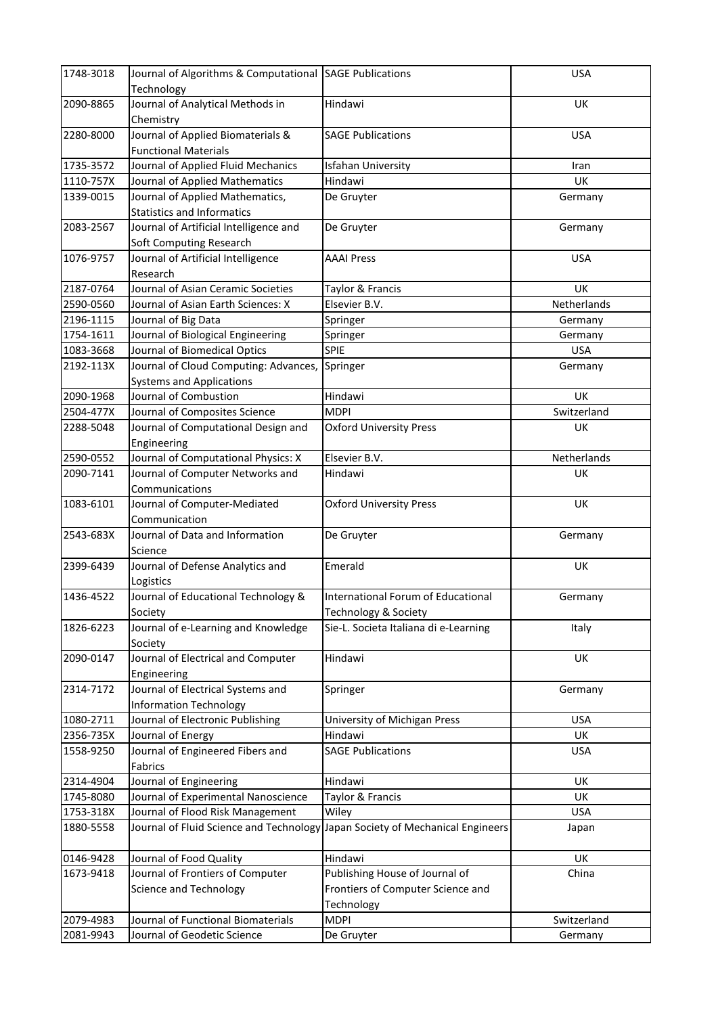| Journal of Analytical Methods in<br>2090-8865<br>UK<br>Hindawi<br>Chemistry<br>Journal of Applied Biomaterials &<br>2280-8000<br><b>SAGE Publications</b><br><b>USA</b><br><b>Functional Materials</b><br>1735-3572<br>Journal of Applied Fluid Mechanics<br>Isfahan University<br>Iran<br>1110-757X<br>Journal of Applied Mathematics<br>Hindawi<br>UK<br>Journal of Applied Mathematics,<br>1339-0015<br>De Gruyter<br>Germany<br><b>Statistics and Informatics</b><br>Journal of Artificial Intelligence and<br>2083-2567<br>De Gruyter<br>Germany<br>Soft Computing Research<br>1076-9757<br>Journal of Artificial Intelligence<br><b>AAAI Press</b><br><b>USA</b><br>Research<br>2187-0764<br>Journal of Asian Ceramic Societies<br>Taylor & Francis<br>UK<br>Elsevier B.V.<br>Netherlands<br>2590-0560<br>Journal of Asian Earth Sciences: X<br>Journal of Big Data<br>2196-1115<br>Springer<br>Germany<br>1754-1611<br>Journal of Biological Engineering<br>Springer<br>Germany<br>1083-3668<br>Journal of Biomedical Optics<br>SPIE<br><b>USA</b><br>Journal of Cloud Computing: Advances,<br>2192-113X<br>Springer<br>Germany<br><b>Systems and Applications</b><br>2090-1968<br>Journal of Combustion<br>UK<br>Hindawi<br>2504-477X<br>Journal of Composites Science<br>Switzerland<br><b>MDPI</b><br>2288-5048<br>Journal of Computational Design and<br><b>Oxford University Press</b><br>UK<br>Engineering<br>2590-0552<br>Journal of Computational Physics: X<br>Elsevier B.V.<br>Netherlands<br>2090-7141<br>Journal of Computer Networks and<br>Hindawi<br><b>UK</b><br>Communications<br>1083-6101<br>UK<br>Journal of Computer-Mediated<br><b>Oxford University Press</b><br>Communication<br>2543-683X<br>Journal of Data and Information<br>De Gruyter<br>Germany<br>Science<br>Emerald<br>2399-6439<br>Journal of Defense Analytics and<br>UK<br>Logistics<br>1436-4522<br>Journal of Educational Technology &<br>International Forum of Educational<br>Germany<br>Society<br><b>Technology &amp; Society</b><br>1826-6223<br>Journal of e-Learning and Knowledge<br>Sie-L. Societa Italiana di e-Learning<br>Italy<br>Society<br>2090-0147<br>Journal of Electrical and Computer<br>Hindawi<br>UK<br>Engineering<br>Journal of Electrical Systems and<br>2314-7172<br>Springer<br>Germany<br><b>Information Technology</b><br>Journal of Electronic Publishing<br>1080-2711<br>University of Michigan Press<br><b>USA</b><br>2356-735X<br>Journal of Energy<br>Hindawi<br>UK<br>Journal of Engineered Fibers and<br>1558-9250<br><b>SAGE Publications</b><br><b>USA</b><br>Fabrics<br>2314-4904<br>Journal of Engineering<br>Hindawi<br>UK<br>Journal of Experimental Nanoscience<br>1745-8080<br>Taylor & Francis<br>UK<br>1753-318X<br>Journal of Flood Risk Management<br>Wiley<br><b>USA</b><br>1880-5558<br>Journal of Fluid Science and Technology Japan Society of Mechanical Engineers<br>Japan<br>0146-9428<br>Journal of Food Quality<br>Hindawi<br>UK<br>Publishing House of Journal of<br>Journal of Frontiers of Computer<br>China<br>1673-9418<br>Science and Technology<br>Frontiers of Computer Science and<br>Technology<br>2079-4983<br>Journal of Functional Biomaterials<br><b>MDPI</b><br>Switzerland<br>2081-9943<br>Journal of Geodetic Science<br>De Gruyter<br>Germany | 1748-3018 | Journal of Algorithms & Computational SAGE Publications | <b>USA</b> |
|-----------------------------------------------------------------------------------------------------------------------------------------------------------------------------------------------------------------------------------------------------------------------------------------------------------------------------------------------------------------------------------------------------------------------------------------------------------------------------------------------------------------------------------------------------------------------------------------------------------------------------------------------------------------------------------------------------------------------------------------------------------------------------------------------------------------------------------------------------------------------------------------------------------------------------------------------------------------------------------------------------------------------------------------------------------------------------------------------------------------------------------------------------------------------------------------------------------------------------------------------------------------------------------------------------------------------------------------------------------------------------------------------------------------------------------------------------------------------------------------------------------------------------------------------------------------------------------------------------------------------------------------------------------------------------------------------------------------------------------------------------------------------------------------------------------------------------------------------------------------------------------------------------------------------------------------------------------------------------------------------------------------------------------------------------------------------------------------------------------------------------------------------------------------------------------------------------------------------------------------------------------------------------------------------------------------------------------------------------------------------------------------------------------------------------------------------------------------------------------------------------------------------------------------------------------------------------------------------------------------------------------------------------------------------------------------------------------------------------------------------------------------------------------------------------------------------------------------------------------------------------------------------------------------------------------------------------------------------------------------------------------------------------------------------------------------------------------------------------------------------------------------------------------------------------------------------------------------------------------------------------------------------------------------------------------------------|-----------|---------------------------------------------------------|------------|
|                                                                                                                                                                                                                                                                                                                                                                                                                                                                                                                                                                                                                                                                                                                                                                                                                                                                                                                                                                                                                                                                                                                                                                                                                                                                                                                                                                                                                                                                                                                                                                                                                                                                                                                                                                                                                                                                                                                                                                                                                                                                                                                                                                                                                                                                                                                                                                                                                                                                                                                                                                                                                                                                                                                                                                                                                                                                                                                                                                                                                                                                                                                                                                                                                                                                                                                       |           | Technology                                              |            |
|                                                                                                                                                                                                                                                                                                                                                                                                                                                                                                                                                                                                                                                                                                                                                                                                                                                                                                                                                                                                                                                                                                                                                                                                                                                                                                                                                                                                                                                                                                                                                                                                                                                                                                                                                                                                                                                                                                                                                                                                                                                                                                                                                                                                                                                                                                                                                                                                                                                                                                                                                                                                                                                                                                                                                                                                                                                                                                                                                                                                                                                                                                                                                                                                                                                                                                                       |           |                                                         |            |
|                                                                                                                                                                                                                                                                                                                                                                                                                                                                                                                                                                                                                                                                                                                                                                                                                                                                                                                                                                                                                                                                                                                                                                                                                                                                                                                                                                                                                                                                                                                                                                                                                                                                                                                                                                                                                                                                                                                                                                                                                                                                                                                                                                                                                                                                                                                                                                                                                                                                                                                                                                                                                                                                                                                                                                                                                                                                                                                                                                                                                                                                                                                                                                                                                                                                                                                       |           |                                                         |            |
|                                                                                                                                                                                                                                                                                                                                                                                                                                                                                                                                                                                                                                                                                                                                                                                                                                                                                                                                                                                                                                                                                                                                                                                                                                                                                                                                                                                                                                                                                                                                                                                                                                                                                                                                                                                                                                                                                                                                                                                                                                                                                                                                                                                                                                                                                                                                                                                                                                                                                                                                                                                                                                                                                                                                                                                                                                                                                                                                                                                                                                                                                                                                                                                                                                                                                                                       |           |                                                         |            |
|                                                                                                                                                                                                                                                                                                                                                                                                                                                                                                                                                                                                                                                                                                                                                                                                                                                                                                                                                                                                                                                                                                                                                                                                                                                                                                                                                                                                                                                                                                                                                                                                                                                                                                                                                                                                                                                                                                                                                                                                                                                                                                                                                                                                                                                                                                                                                                                                                                                                                                                                                                                                                                                                                                                                                                                                                                                                                                                                                                                                                                                                                                                                                                                                                                                                                                                       |           |                                                         |            |
|                                                                                                                                                                                                                                                                                                                                                                                                                                                                                                                                                                                                                                                                                                                                                                                                                                                                                                                                                                                                                                                                                                                                                                                                                                                                                                                                                                                                                                                                                                                                                                                                                                                                                                                                                                                                                                                                                                                                                                                                                                                                                                                                                                                                                                                                                                                                                                                                                                                                                                                                                                                                                                                                                                                                                                                                                                                                                                                                                                                                                                                                                                                                                                                                                                                                                                                       |           |                                                         |            |
|                                                                                                                                                                                                                                                                                                                                                                                                                                                                                                                                                                                                                                                                                                                                                                                                                                                                                                                                                                                                                                                                                                                                                                                                                                                                                                                                                                                                                                                                                                                                                                                                                                                                                                                                                                                                                                                                                                                                                                                                                                                                                                                                                                                                                                                                                                                                                                                                                                                                                                                                                                                                                                                                                                                                                                                                                                                                                                                                                                                                                                                                                                                                                                                                                                                                                                                       |           |                                                         |            |
|                                                                                                                                                                                                                                                                                                                                                                                                                                                                                                                                                                                                                                                                                                                                                                                                                                                                                                                                                                                                                                                                                                                                                                                                                                                                                                                                                                                                                                                                                                                                                                                                                                                                                                                                                                                                                                                                                                                                                                                                                                                                                                                                                                                                                                                                                                                                                                                                                                                                                                                                                                                                                                                                                                                                                                                                                                                                                                                                                                                                                                                                                                                                                                                                                                                                                                                       |           |                                                         |            |
|                                                                                                                                                                                                                                                                                                                                                                                                                                                                                                                                                                                                                                                                                                                                                                                                                                                                                                                                                                                                                                                                                                                                                                                                                                                                                                                                                                                                                                                                                                                                                                                                                                                                                                                                                                                                                                                                                                                                                                                                                                                                                                                                                                                                                                                                                                                                                                                                                                                                                                                                                                                                                                                                                                                                                                                                                                                                                                                                                                                                                                                                                                                                                                                                                                                                                                                       |           |                                                         |            |
|                                                                                                                                                                                                                                                                                                                                                                                                                                                                                                                                                                                                                                                                                                                                                                                                                                                                                                                                                                                                                                                                                                                                                                                                                                                                                                                                                                                                                                                                                                                                                                                                                                                                                                                                                                                                                                                                                                                                                                                                                                                                                                                                                                                                                                                                                                                                                                                                                                                                                                                                                                                                                                                                                                                                                                                                                                                                                                                                                                                                                                                                                                                                                                                                                                                                                                                       |           |                                                         |            |
|                                                                                                                                                                                                                                                                                                                                                                                                                                                                                                                                                                                                                                                                                                                                                                                                                                                                                                                                                                                                                                                                                                                                                                                                                                                                                                                                                                                                                                                                                                                                                                                                                                                                                                                                                                                                                                                                                                                                                                                                                                                                                                                                                                                                                                                                                                                                                                                                                                                                                                                                                                                                                                                                                                                                                                                                                                                                                                                                                                                                                                                                                                                                                                                                                                                                                                                       |           |                                                         |            |
|                                                                                                                                                                                                                                                                                                                                                                                                                                                                                                                                                                                                                                                                                                                                                                                                                                                                                                                                                                                                                                                                                                                                                                                                                                                                                                                                                                                                                                                                                                                                                                                                                                                                                                                                                                                                                                                                                                                                                                                                                                                                                                                                                                                                                                                                                                                                                                                                                                                                                                                                                                                                                                                                                                                                                                                                                                                                                                                                                                                                                                                                                                                                                                                                                                                                                                                       |           |                                                         |            |
|                                                                                                                                                                                                                                                                                                                                                                                                                                                                                                                                                                                                                                                                                                                                                                                                                                                                                                                                                                                                                                                                                                                                                                                                                                                                                                                                                                                                                                                                                                                                                                                                                                                                                                                                                                                                                                                                                                                                                                                                                                                                                                                                                                                                                                                                                                                                                                                                                                                                                                                                                                                                                                                                                                                                                                                                                                                                                                                                                                                                                                                                                                                                                                                                                                                                                                                       |           |                                                         |            |
|                                                                                                                                                                                                                                                                                                                                                                                                                                                                                                                                                                                                                                                                                                                                                                                                                                                                                                                                                                                                                                                                                                                                                                                                                                                                                                                                                                                                                                                                                                                                                                                                                                                                                                                                                                                                                                                                                                                                                                                                                                                                                                                                                                                                                                                                                                                                                                                                                                                                                                                                                                                                                                                                                                                                                                                                                                                                                                                                                                                                                                                                                                                                                                                                                                                                                                                       |           |                                                         |            |
|                                                                                                                                                                                                                                                                                                                                                                                                                                                                                                                                                                                                                                                                                                                                                                                                                                                                                                                                                                                                                                                                                                                                                                                                                                                                                                                                                                                                                                                                                                                                                                                                                                                                                                                                                                                                                                                                                                                                                                                                                                                                                                                                                                                                                                                                                                                                                                                                                                                                                                                                                                                                                                                                                                                                                                                                                                                                                                                                                                                                                                                                                                                                                                                                                                                                                                                       |           |                                                         |            |
|                                                                                                                                                                                                                                                                                                                                                                                                                                                                                                                                                                                                                                                                                                                                                                                                                                                                                                                                                                                                                                                                                                                                                                                                                                                                                                                                                                                                                                                                                                                                                                                                                                                                                                                                                                                                                                                                                                                                                                                                                                                                                                                                                                                                                                                                                                                                                                                                                                                                                                                                                                                                                                                                                                                                                                                                                                                                                                                                                                                                                                                                                                                                                                                                                                                                                                                       |           |                                                         |            |
|                                                                                                                                                                                                                                                                                                                                                                                                                                                                                                                                                                                                                                                                                                                                                                                                                                                                                                                                                                                                                                                                                                                                                                                                                                                                                                                                                                                                                                                                                                                                                                                                                                                                                                                                                                                                                                                                                                                                                                                                                                                                                                                                                                                                                                                                                                                                                                                                                                                                                                                                                                                                                                                                                                                                                                                                                                                                                                                                                                                                                                                                                                                                                                                                                                                                                                                       |           |                                                         |            |
|                                                                                                                                                                                                                                                                                                                                                                                                                                                                                                                                                                                                                                                                                                                                                                                                                                                                                                                                                                                                                                                                                                                                                                                                                                                                                                                                                                                                                                                                                                                                                                                                                                                                                                                                                                                                                                                                                                                                                                                                                                                                                                                                                                                                                                                                                                                                                                                                                                                                                                                                                                                                                                                                                                                                                                                                                                                                                                                                                                                                                                                                                                                                                                                                                                                                                                                       |           |                                                         |            |
|                                                                                                                                                                                                                                                                                                                                                                                                                                                                                                                                                                                                                                                                                                                                                                                                                                                                                                                                                                                                                                                                                                                                                                                                                                                                                                                                                                                                                                                                                                                                                                                                                                                                                                                                                                                                                                                                                                                                                                                                                                                                                                                                                                                                                                                                                                                                                                                                                                                                                                                                                                                                                                                                                                                                                                                                                                                                                                                                                                                                                                                                                                                                                                                                                                                                                                                       |           |                                                         |            |
|                                                                                                                                                                                                                                                                                                                                                                                                                                                                                                                                                                                                                                                                                                                                                                                                                                                                                                                                                                                                                                                                                                                                                                                                                                                                                                                                                                                                                                                                                                                                                                                                                                                                                                                                                                                                                                                                                                                                                                                                                                                                                                                                                                                                                                                                                                                                                                                                                                                                                                                                                                                                                                                                                                                                                                                                                                                                                                                                                                                                                                                                                                                                                                                                                                                                                                                       |           |                                                         |            |
|                                                                                                                                                                                                                                                                                                                                                                                                                                                                                                                                                                                                                                                                                                                                                                                                                                                                                                                                                                                                                                                                                                                                                                                                                                                                                                                                                                                                                                                                                                                                                                                                                                                                                                                                                                                                                                                                                                                                                                                                                                                                                                                                                                                                                                                                                                                                                                                                                                                                                                                                                                                                                                                                                                                                                                                                                                                                                                                                                                                                                                                                                                                                                                                                                                                                                                                       |           |                                                         |            |
|                                                                                                                                                                                                                                                                                                                                                                                                                                                                                                                                                                                                                                                                                                                                                                                                                                                                                                                                                                                                                                                                                                                                                                                                                                                                                                                                                                                                                                                                                                                                                                                                                                                                                                                                                                                                                                                                                                                                                                                                                                                                                                                                                                                                                                                                                                                                                                                                                                                                                                                                                                                                                                                                                                                                                                                                                                                                                                                                                                                                                                                                                                                                                                                                                                                                                                                       |           |                                                         |            |
|                                                                                                                                                                                                                                                                                                                                                                                                                                                                                                                                                                                                                                                                                                                                                                                                                                                                                                                                                                                                                                                                                                                                                                                                                                                                                                                                                                                                                                                                                                                                                                                                                                                                                                                                                                                                                                                                                                                                                                                                                                                                                                                                                                                                                                                                                                                                                                                                                                                                                                                                                                                                                                                                                                                                                                                                                                                                                                                                                                                                                                                                                                                                                                                                                                                                                                                       |           |                                                         |            |
|                                                                                                                                                                                                                                                                                                                                                                                                                                                                                                                                                                                                                                                                                                                                                                                                                                                                                                                                                                                                                                                                                                                                                                                                                                                                                                                                                                                                                                                                                                                                                                                                                                                                                                                                                                                                                                                                                                                                                                                                                                                                                                                                                                                                                                                                                                                                                                                                                                                                                                                                                                                                                                                                                                                                                                                                                                                                                                                                                                                                                                                                                                                                                                                                                                                                                                                       |           |                                                         |            |
|                                                                                                                                                                                                                                                                                                                                                                                                                                                                                                                                                                                                                                                                                                                                                                                                                                                                                                                                                                                                                                                                                                                                                                                                                                                                                                                                                                                                                                                                                                                                                                                                                                                                                                                                                                                                                                                                                                                                                                                                                                                                                                                                                                                                                                                                                                                                                                                                                                                                                                                                                                                                                                                                                                                                                                                                                                                                                                                                                                                                                                                                                                                                                                                                                                                                                                                       |           |                                                         |            |
|                                                                                                                                                                                                                                                                                                                                                                                                                                                                                                                                                                                                                                                                                                                                                                                                                                                                                                                                                                                                                                                                                                                                                                                                                                                                                                                                                                                                                                                                                                                                                                                                                                                                                                                                                                                                                                                                                                                                                                                                                                                                                                                                                                                                                                                                                                                                                                                                                                                                                                                                                                                                                                                                                                                                                                                                                                                                                                                                                                                                                                                                                                                                                                                                                                                                                                                       |           |                                                         |            |
|                                                                                                                                                                                                                                                                                                                                                                                                                                                                                                                                                                                                                                                                                                                                                                                                                                                                                                                                                                                                                                                                                                                                                                                                                                                                                                                                                                                                                                                                                                                                                                                                                                                                                                                                                                                                                                                                                                                                                                                                                                                                                                                                                                                                                                                                                                                                                                                                                                                                                                                                                                                                                                                                                                                                                                                                                                                                                                                                                                                                                                                                                                                                                                                                                                                                                                                       |           |                                                         |            |
|                                                                                                                                                                                                                                                                                                                                                                                                                                                                                                                                                                                                                                                                                                                                                                                                                                                                                                                                                                                                                                                                                                                                                                                                                                                                                                                                                                                                                                                                                                                                                                                                                                                                                                                                                                                                                                                                                                                                                                                                                                                                                                                                                                                                                                                                                                                                                                                                                                                                                                                                                                                                                                                                                                                                                                                                                                                                                                                                                                                                                                                                                                                                                                                                                                                                                                                       |           |                                                         |            |
|                                                                                                                                                                                                                                                                                                                                                                                                                                                                                                                                                                                                                                                                                                                                                                                                                                                                                                                                                                                                                                                                                                                                                                                                                                                                                                                                                                                                                                                                                                                                                                                                                                                                                                                                                                                                                                                                                                                                                                                                                                                                                                                                                                                                                                                                                                                                                                                                                                                                                                                                                                                                                                                                                                                                                                                                                                                                                                                                                                                                                                                                                                                                                                                                                                                                                                                       |           |                                                         |            |
|                                                                                                                                                                                                                                                                                                                                                                                                                                                                                                                                                                                                                                                                                                                                                                                                                                                                                                                                                                                                                                                                                                                                                                                                                                                                                                                                                                                                                                                                                                                                                                                                                                                                                                                                                                                                                                                                                                                                                                                                                                                                                                                                                                                                                                                                                                                                                                                                                                                                                                                                                                                                                                                                                                                                                                                                                                                                                                                                                                                                                                                                                                                                                                                                                                                                                                                       |           |                                                         |            |
|                                                                                                                                                                                                                                                                                                                                                                                                                                                                                                                                                                                                                                                                                                                                                                                                                                                                                                                                                                                                                                                                                                                                                                                                                                                                                                                                                                                                                                                                                                                                                                                                                                                                                                                                                                                                                                                                                                                                                                                                                                                                                                                                                                                                                                                                                                                                                                                                                                                                                                                                                                                                                                                                                                                                                                                                                                                                                                                                                                                                                                                                                                                                                                                                                                                                                                                       |           |                                                         |            |
|                                                                                                                                                                                                                                                                                                                                                                                                                                                                                                                                                                                                                                                                                                                                                                                                                                                                                                                                                                                                                                                                                                                                                                                                                                                                                                                                                                                                                                                                                                                                                                                                                                                                                                                                                                                                                                                                                                                                                                                                                                                                                                                                                                                                                                                                                                                                                                                                                                                                                                                                                                                                                                                                                                                                                                                                                                                                                                                                                                                                                                                                                                                                                                                                                                                                                                                       |           |                                                         |            |
|                                                                                                                                                                                                                                                                                                                                                                                                                                                                                                                                                                                                                                                                                                                                                                                                                                                                                                                                                                                                                                                                                                                                                                                                                                                                                                                                                                                                                                                                                                                                                                                                                                                                                                                                                                                                                                                                                                                                                                                                                                                                                                                                                                                                                                                                                                                                                                                                                                                                                                                                                                                                                                                                                                                                                                                                                                                                                                                                                                                                                                                                                                                                                                                                                                                                                                                       |           |                                                         |            |
|                                                                                                                                                                                                                                                                                                                                                                                                                                                                                                                                                                                                                                                                                                                                                                                                                                                                                                                                                                                                                                                                                                                                                                                                                                                                                                                                                                                                                                                                                                                                                                                                                                                                                                                                                                                                                                                                                                                                                                                                                                                                                                                                                                                                                                                                                                                                                                                                                                                                                                                                                                                                                                                                                                                                                                                                                                                                                                                                                                                                                                                                                                                                                                                                                                                                                                                       |           |                                                         |            |
|                                                                                                                                                                                                                                                                                                                                                                                                                                                                                                                                                                                                                                                                                                                                                                                                                                                                                                                                                                                                                                                                                                                                                                                                                                                                                                                                                                                                                                                                                                                                                                                                                                                                                                                                                                                                                                                                                                                                                                                                                                                                                                                                                                                                                                                                                                                                                                                                                                                                                                                                                                                                                                                                                                                                                                                                                                                                                                                                                                                                                                                                                                                                                                                                                                                                                                                       |           |                                                         |            |
|                                                                                                                                                                                                                                                                                                                                                                                                                                                                                                                                                                                                                                                                                                                                                                                                                                                                                                                                                                                                                                                                                                                                                                                                                                                                                                                                                                                                                                                                                                                                                                                                                                                                                                                                                                                                                                                                                                                                                                                                                                                                                                                                                                                                                                                                                                                                                                                                                                                                                                                                                                                                                                                                                                                                                                                                                                                                                                                                                                                                                                                                                                                                                                                                                                                                                                                       |           |                                                         |            |
|                                                                                                                                                                                                                                                                                                                                                                                                                                                                                                                                                                                                                                                                                                                                                                                                                                                                                                                                                                                                                                                                                                                                                                                                                                                                                                                                                                                                                                                                                                                                                                                                                                                                                                                                                                                                                                                                                                                                                                                                                                                                                                                                                                                                                                                                                                                                                                                                                                                                                                                                                                                                                                                                                                                                                                                                                                                                                                                                                                                                                                                                                                                                                                                                                                                                                                                       |           |                                                         |            |
|                                                                                                                                                                                                                                                                                                                                                                                                                                                                                                                                                                                                                                                                                                                                                                                                                                                                                                                                                                                                                                                                                                                                                                                                                                                                                                                                                                                                                                                                                                                                                                                                                                                                                                                                                                                                                                                                                                                                                                                                                                                                                                                                                                                                                                                                                                                                                                                                                                                                                                                                                                                                                                                                                                                                                                                                                                                                                                                                                                                                                                                                                                                                                                                                                                                                                                                       |           |                                                         |            |
|                                                                                                                                                                                                                                                                                                                                                                                                                                                                                                                                                                                                                                                                                                                                                                                                                                                                                                                                                                                                                                                                                                                                                                                                                                                                                                                                                                                                                                                                                                                                                                                                                                                                                                                                                                                                                                                                                                                                                                                                                                                                                                                                                                                                                                                                                                                                                                                                                                                                                                                                                                                                                                                                                                                                                                                                                                                                                                                                                                                                                                                                                                                                                                                                                                                                                                                       |           |                                                         |            |
|                                                                                                                                                                                                                                                                                                                                                                                                                                                                                                                                                                                                                                                                                                                                                                                                                                                                                                                                                                                                                                                                                                                                                                                                                                                                                                                                                                                                                                                                                                                                                                                                                                                                                                                                                                                                                                                                                                                                                                                                                                                                                                                                                                                                                                                                                                                                                                                                                                                                                                                                                                                                                                                                                                                                                                                                                                                                                                                                                                                                                                                                                                                                                                                                                                                                                                                       |           |                                                         |            |
|                                                                                                                                                                                                                                                                                                                                                                                                                                                                                                                                                                                                                                                                                                                                                                                                                                                                                                                                                                                                                                                                                                                                                                                                                                                                                                                                                                                                                                                                                                                                                                                                                                                                                                                                                                                                                                                                                                                                                                                                                                                                                                                                                                                                                                                                                                                                                                                                                                                                                                                                                                                                                                                                                                                                                                                                                                                                                                                                                                                                                                                                                                                                                                                                                                                                                                                       |           |                                                         |            |
|                                                                                                                                                                                                                                                                                                                                                                                                                                                                                                                                                                                                                                                                                                                                                                                                                                                                                                                                                                                                                                                                                                                                                                                                                                                                                                                                                                                                                                                                                                                                                                                                                                                                                                                                                                                                                                                                                                                                                                                                                                                                                                                                                                                                                                                                                                                                                                                                                                                                                                                                                                                                                                                                                                                                                                                                                                                                                                                                                                                                                                                                                                                                                                                                                                                                                                                       |           |                                                         |            |
|                                                                                                                                                                                                                                                                                                                                                                                                                                                                                                                                                                                                                                                                                                                                                                                                                                                                                                                                                                                                                                                                                                                                                                                                                                                                                                                                                                                                                                                                                                                                                                                                                                                                                                                                                                                                                                                                                                                                                                                                                                                                                                                                                                                                                                                                                                                                                                                                                                                                                                                                                                                                                                                                                                                                                                                                                                                                                                                                                                                                                                                                                                                                                                                                                                                                                                                       |           |                                                         |            |
|                                                                                                                                                                                                                                                                                                                                                                                                                                                                                                                                                                                                                                                                                                                                                                                                                                                                                                                                                                                                                                                                                                                                                                                                                                                                                                                                                                                                                                                                                                                                                                                                                                                                                                                                                                                                                                                                                                                                                                                                                                                                                                                                                                                                                                                                                                                                                                                                                                                                                                                                                                                                                                                                                                                                                                                                                                                                                                                                                                                                                                                                                                                                                                                                                                                                                                                       |           |                                                         |            |
|                                                                                                                                                                                                                                                                                                                                                                                                                                                                                                                                                                                                                                                                                                                                                                                                                                                                                                                                                                                                                                                                                                                                                                                                                                                                                                                                                                                                                                                                                                                                                                                                                                                                                                                                                                                                                                                                                                                                                                                                                                                                                                                                                                                                                                                                                                                                                                                                                                                                                                                                                                                                                                                                                                                                                                                                                                                                                                                                                                                                                                                                                                                                                                                                                                                                                                                       |           |                                                         |            |
|                                                                                                                                                                                                                                                                                                                                                                                                                                                                                                                                                                                                                                                                                                                                                                                                                                                                                                                                                                                                                                                                                                                                                                                                                                                                                                                                                                                                                                                                                                                                                                                                                                                                                                                                                                                                                                                                                                                                                                                                                                                                                                                                                                                                                                                                                                                                                                                                                                                                                                                                                                                                                                                                                                                                                                                                                                                                                                                                                                                                                                                                                                                                                                                                                                                                                                                       |           |                                                         |            |
|                                                                                                                                                                                                                                                                                                                                                                                                                                                                                                                                                                                                                                                                                                                                                                                                                                                                                                                                                                                                                                                                                                                                                                                                                                                                                                                                                                                                                                                                                                                                                                                                                                                                                                                                                                                                                                                                                                                                                                                                                                                                                                                                                                                                                                                                                                                                                                                                                                                                                                                                                                                                                                                                                                                                                                                                                                                                                                                                                                                                                                                                                                                                                                                                                                                                                                                       |           |                                                         |            |
|                                                                                                                                                                                                                                                                                                                                                                                                                                                                                                                                                                                                                                                                                                                                                                                                                                                                                                                                                                                                                                                                                                                                                                                                                                                                                                                                                                                                                                                                                                                                                                                                                                                                                                                                                                                                                                                                                                                                                                                                                                                                                                                                                                                                                                                                                                                                                                                                                                                                                                                                                                                                                                                                                                                                                                                                                                                                                                                                                                                                                                                                                                                                                                                                                                                                                                                       |           |                                                         |            |
|                                                                                                                                                                                                                                                                                                                                                                                                                                                                                                                                                                                                                                                                                                                                                                                                                                                                                                                                                                                                                                                                                                                                                                                                                                                                                                                                                                                                                                                                                                                                                                                                                                                                                                                                                                                                                                                                                                                                                                                                                                                                                                                                                                                                                                                                                                                                                                                                                                                                                                                                                                                                                                                                                                                                                                                                                                                                                                                                                                                                                                                                                                                                                                                                                                                                                                                       |           |                                                         |            |
|                                                                                                                                                                                                                                                                                                                                                                                                                                                                                                                                                                                                                                                                                                                                                                                                                                                                                                                                                                                                                                                                                                                                                                                                                                                                                                                                                                                                                                                                                                                                                                                                                                                                                                                                                                                                                                                                                                                                                                                                                                                                                                                                                                                                                                                                                                                                                                                                                                                                                                                                                                                                                                                                                                                                                                                                                                                                                                                                                                                                                                                                                                                                                                                                                                                                                                                       |           |                                                         |            |
|                                                                                                                                                                                                                                                                                                                                                                                                                                                                                                                                                                                                                                                                                                                                                                                                                                                                                                                                                                                                                                                                                                                                                                                                                                                                                                                                                                                                                                                                                                                                                                                                                                                                                                                                                                                                                                                                                                                                                                                                                                                                                                                                                                                                                                                                                                                                                                                                                                                                                                                                                                                                                                                                                                                                                                                                                                                                                                                                                                                                                                                                                                                                                                                                                                                                                                                       |           |                                                         |            |
|                                                                                                                                                                                                                                                                                                                                                                                                                                                                                                                                                                                                                                                                                                                                                                                                                                                                                                                                                                                                                                                                                                                                                                                                                                                                                                                                                                                                                                                                                                                                                                                                                                                                                                                                                                                                                                                                                                                                                                                                                                                                                                                                                                                                                                                                                                                                                                                                                                                                                                                                                                                                                                                                                                                                                                                                                                                                                                                                                                                                                                                                                                                                                                                                                                                                                                                       |           |                                                         |            |
|                                                                                                                                                                                                                                                                                                                                                                                                                                                                                                                                                                                                                                                                                                                                                                                                                                                                                                                                                                                                                                                                                                                                                                                                                                                                                                                                                                                                                                                                                                                                                                                                                                                                                                                                                                                                                                                                                                                                                                                                                                                                                                                                                                                                                                                                                                                                                                                                                                                                                                                                                                                                                                                                                                                                                                                                                                                                                                                                                                                                                                                                                                                                                                                                                                                                                                                       |           |                                                         |            |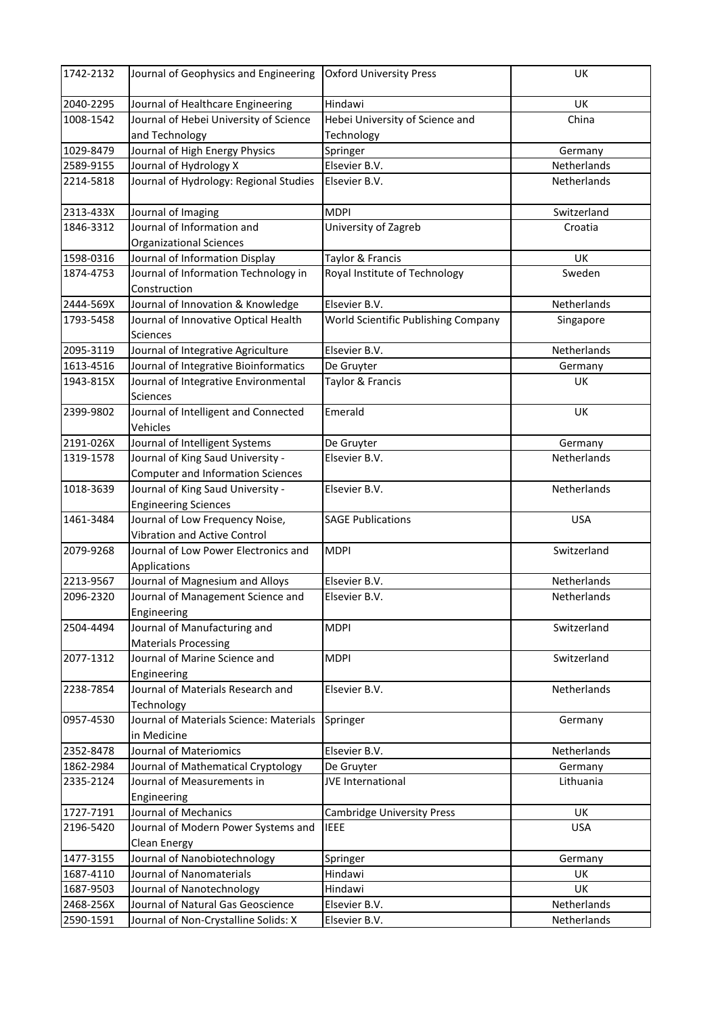| 1742-2132 | Journal of Geophysics and Engineering            | <b>Oxford University Press</b>      | UK          |
|-----------|--------------------------------------------------|-------------------------------------|-------------|
| 2040-2295 | Journal of Healthcare Engineering                | Hindawi                             | UK          |
| 1008-1542 | Journal of Hebei University of Science           | Hebei University of Science and     | China       |
|           | and Technology                                   | Technology                          |             |
| 1029-8479 | Journal of High Energy Physics                   | Springer                            | Germany     |
| 2589-9155 | Journal of Hydrology X                           | Elsevier B.V.                       | Netherlands |
| 2214-5818 | Journal of Hydrology: Regional Studies           | Elsevier B.V.                       | Netherlands |
|           |                                                  |                                     |             |
| 2313-433X | Journal of Imaging                               | <b>MDPI</b>                         | Switzerland |
| 1846-3312 | Journal of Information and                       | University of Zagreb                | Croatia     |
|           | <b>Organizational Sciences</b>                   |                                     |             |
| 1598-0316 | Journal of Information Display                   | Taylor & Francis                    | UK          |
| 1874-4753 | Journal of Information Technology in             | Royal Institute of Technology       | Sweden      |
|           | Construction                                     |                                     |             |
| 2444-569X | Journal of Innovation & Knowledge                | Elsevier B.V.                       | Netherlands |
| 1793-5458 | Journal of Innovative Optical Health<br>Sciences | World Scientific Publishing Company | Singapore   |
| 2095-3119 | Journal of Integrative Agriculture               | Elsevier B.V.                       | Netherlands |
| 1613-4516 | Journal of Integrative Bioinformatics            | De Gruyter                          | Germany     |
| 1943-815X | Journal of Integrative Environmental             | Taylor & Francis                    | <b>UK</b>   |
|           | <b>Sciences</b>                                  |                                     |             |
| 2399-9802 | Journal of Intelligent and Connected<br>Vehicles | Emerald                             | UK          |
| 2191-026X | Journal of Intelligent Systems                   | De Gruyter                          | Germany     |
| 1319-1578 | Journal of King Saud University -                | Elsevier B.V.                       | Netherlands |
|           | <b>Computer and Information Sciences</b>         |                                     |             |
| 1018-3639 | Journal of King Saud University -                | Elsevier B.V.                       | Netherlands |
|           | <b>Engineering Sciences</b>                      |                                     |             |
| 1461-3484 | Journal of Low Frequency Noise,                  | <b>SAGE Publications</b>            | <b>USA</b>  |
|           | <b>Vibration and Active Control</b>              |                                     |             |
| 2079-9268 | Journal of Low Power Electronics and             | <b>MDPI</b>                         | Switzerland |
|           | Applications                                     |                                     |             |
| 2213-9567 | Journal of Magnesium and Alloys                  | Elsevier B.V.                       | Netherlands |
| 2096-2320 | Journal of Management Science and                | Elsevier B.V.                       | Netherlands |
|           | Engineering                                      |                                     |             |
| 2504-4494 | Journal of Manufacturing and                     | <b>MDPI</b>                         | Switzerland |
|           | <b>Materials Processing</b>                      |                                     |             |
| 2077-1312 | Journal of Marine Science and                    | <b>MDPI</b>                         | Switzerland |
|           | Engineering                                      |                                     |             |
| 2238-7854 | Journal of Materials Research and<br>Technology  | Elsevier B.V.                       | Netherlands |
| 0957-4530 | Journal of Materials Science: Materials          | Springer                            | Germany     |
|           | in Medicine                                      |                                     |             |
| 2352-8478 | Journal of Materiomics                           | Elsevier B.V.                       | Netherlands |
| 1862-2984 | Journal of Mathematical Cryptology               | De Gruyter                          | Germany     |
| 2335-2124 | Journal of Measurements in                       | JVE International                   | Lithuania   |
|           | Engineering                                      |                                     |             |
| 1727-7191 | Journal of Mechanics                             | <b>Cambridge University Press</b>   | UK          |
| 2196-5420 | Journal of Modern Power Systems and              | <b>IEEE</b>                         | <b>USA</b>  |
|           | Clean Energy                                     |                                     |             |
| 1477-3155 | Journal of Nanobiotechnology                     | Springer                            | Germany     |
| 1687-4110 | Journal of Nanomaterials                         | Hindawi                             | UK          |
| 1687-9503 | Journal of Nanotechnology                        | Hindawi                             | UK          |
| 2468-256X | Journal of Natural Gas Geoscience                | Elsevier B.V.                       | Netherlands |
| 2590-1591 | Journal of Non-Crystalline Solids: X             | Elsevier B.V.                       | Netherlands |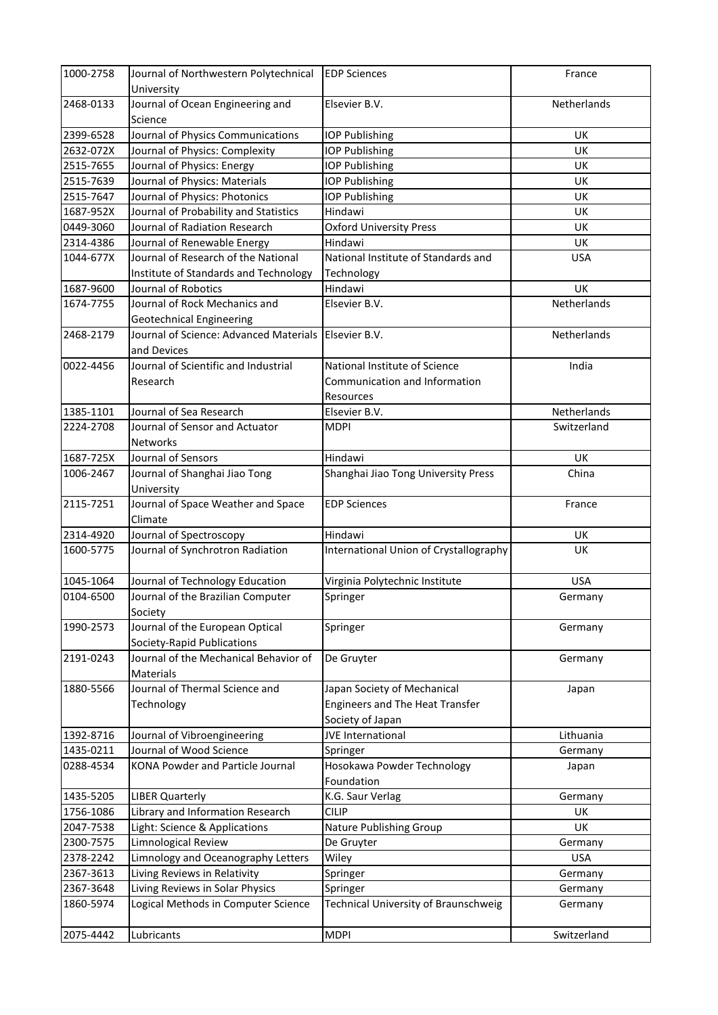| 1000-2758 | Journal of Northwestern Polytechnical       | <b>EDP Sciences</b>                    | France      |
|-----------|---------------------------------------------|----------------------------------------|-------------|
|           | University                                  |                                        |             |
| 2468-0133 | Journal of Ocean Engineering and<br>Science | Elsevier B.V.                          | Netherlands |
| 2399-6528 | Journal of Physics Communications           | <b>IOP Publishing</b>                  | UK          |
| 2632-072X | Journal of Physics: Complexity              | <b>IOP Publishing</b>                  | <b>UK</b>   |
| 2515-7655 | Journal of Physics: Energy                  | <b>IOP Publishing</b>                  | UK          |
| 2515-7639 | Journal of Physics: Materials               | <b>IOP Publishing</b>                  | UK          |
| 2515-7647 | Journal of Physics: Photonics               | <b>IOP Publishing</b>                  | UK          |
| 1687-952X | Journal of Probability and Statistics       | Hindawi                                | UK          |
| 0449-3060 | Journal of Radiation Research               | <b>Oxford University Press</b>         | <b>UK</b>   |
| 2314-4386 | Journal of Renewable Energy                 | Hindawi                                | UK          |
| 1044-677X | Journal of Research of the National         | National Institute of Standards and    | <b>USA</b>  |
|           | Institute of Standards and Technology       | Technology                             |             |
| 1687-9600 | Journal of Robotics                         | Hindawi                                | UK          |
| 1674-7755 | Journal of Rock Mechanics and               | Elsevier B.V.                          | Netherlands |
|           | Geotechnical Engineering                    |                                        |             |
| 2468-2179 | Journal of Science: Advanced Materials      | Elsevier B.V.                          | Netherlands |
|           | and Devices                                 |                                        |             |
| 0022-4456 | Journal of Scientific and Industrial        | National Institute of Science          | India       |
|           | Research                                    | Communication and Information          |             |
|           |                                             |                                        |             |
|           | Journal of Sea Research                     | Resources                              |             |
| 1385-1101 |                                             | Elsevier B.V.                          | Netherlands |
| 2224-2708 | Journal of Sensor and Actuator              | <b>MDPI</b>                            | Switzerland |
|           | <b>Networks</b>                             |                                        |             |
| 1687-725X | Journal of Sensors                          | Hindawi                                | <b>UK</b>   |
| 1006-2467 | Journal of Shanghai Jiao Tong               | Shanghai Jiao Tong University Press    | China       |
|           | University                                  |                                        |             |
| 2115-7251 | Journal of Space Weather and Space          | <b>EDP Sciences</b>                    | France      |
|           | Climate                                     |                                        |             |
| 2314-4920 | Journal of Spectroscopy                     | Hindawi                                | <b>UK</b>   |
| 1600-5775 | Journal of Synchrotron Radiation            | International Union of Crystallography | <b>UK</b>   |
| 1045-1064 | Journal of Technology Education             | Virginia Polytechnic Institute         | <b>USA</b>  |
| 0104-6500 | Journal of the Brazilian Computer           | Springer                               | Germany     |
|           | Society                                     |                                        |             |
| 1990-2573 | Journal of the European Optical             | Springer                               | Germany     |
|           | Society-Rapid Publications                  |                                        |             |
| 2191-0243 | Journal of the Mechanical Behavior of       | De Gruyter                             | Germany     |
|           | <b>Materials</b>                            |                                        |             |
| 1880-5566 | Journal of Thermal Science and              | Japan Society of Mechanical            | Japan       |
|           | Technology                                  | <b>Engineers and The Heat Transfer</b> |             |
|           |                                             | Society of Japan                       |             |
| 1392-8716 | Journal of Vibroengineering                 | JVE International                      | Lithuania   |
| 1435-0211 | Journal of Wood Science                     | Springer                               | Germany     |
| 0288-4534 | <b>KONA Powder and Particle Journal</b>     | Hosokawa Powder Technology             | Japan       |
|           |                                             | Foundation                             |             |
| 1435-5205 | <b>LIBER Quarterly</b>                      | K.G. Saur Verlag                       | Germany     |
| 1756-1086 | Library and Information Research            | <b>CILIP</b>                           | UK          |
| 2047-7538 | Light: Science & Applications               | Nature Publishing Group                | UK          |
| 2300-7575 | Limnological Review                         | De Gruyter                             | Germany     |
| 2378-2242 | Limnology and Oceanography Letters          |                                        | <b>USA</b>  |
|           | Living Reviews in Relativity                | Wiley                                  |             |
| 2367-3613 |                                             | Springer                               | Germany     |
| 2367-3648 | Living Reviews in Solar Physics             | Springer                               | Germany     |
| 1860-5974 | Logical Methods in Computer Science         | Technical University of Braunschweig   | Germany     |
| 2075-4442 | Lubricants                                  | <b>MDPI</b>                            | Switzerland |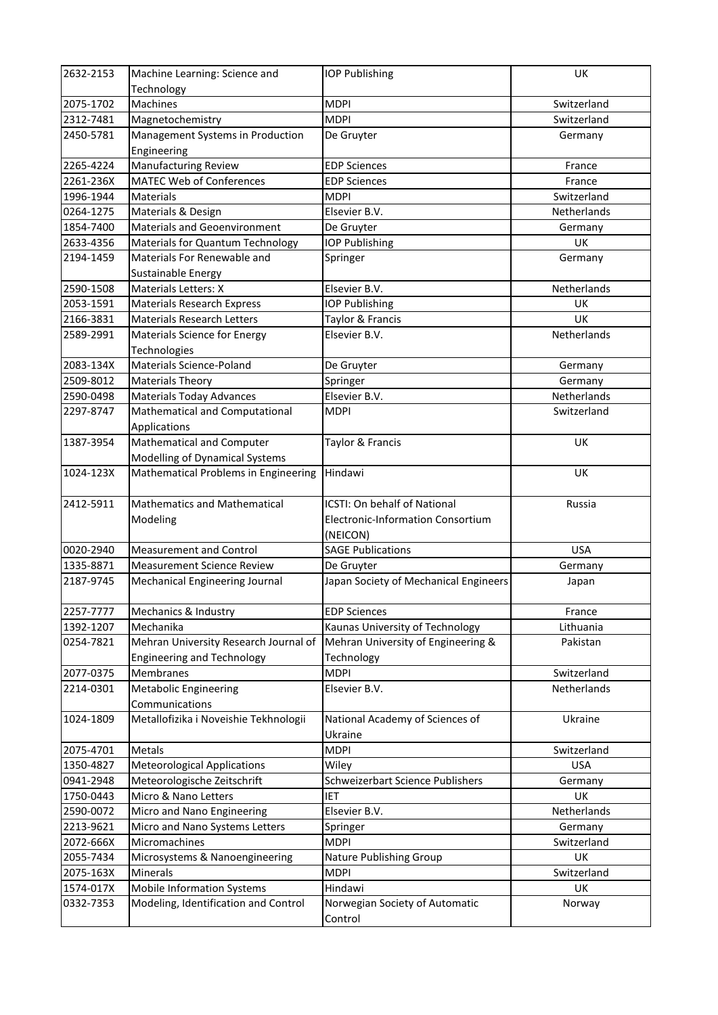| 2632-2153 | Machine Learning: Science and                   | <b>IOP Publishing</b>                    | UK                 |
|-----------|-------------------------------------------------|------------------------------------------|--------------------|
|           | Technology                                      |                                          |                    |
| 2075-1702 | <b>Machines</b>                                 | <b>MDPI</b>                              | Switzerland        |
| 2312-7481 | Magnetochemistry                                | <b>MDPI</b>                              | Switzerland        |
| 2450-5781 | Management Systems in Production<br>Engineering | De Gruyter                               | Germany            |
| 2265-4224 | Manufacturing Review                            | <b>EDP Sciences</b>                      | France             |
| 2261-236X | <b>MATEC Web of Conferences</b>                 | <b>EDP Sciences</b>                      | France             |
| 1996-1944 | <b>Materials</b>                                | <b>MDPI</b>                              | Switzerland        |
| 0264-1275 | Materials & Design                              | Elsevier B.V.                            | <b>Netherlands</b> |
| 1854-7400 | <b>Materials and Geoenvironment</b>             | De Gruyter                               | Germany            |
| 2633-4356 | Materials for Quantum Technology                | <b>IOP Publishing</b>                    | UK                 |
| 2194-1459 | Materials For Renewable and                     | Springer                                 | Germany            |
|           | Sustainable Energy                              |                                          |                    |
| 2590-1508 | Materials Letters: X                            | Elsevier B.V.                            | Netherlands        |
| 2053-1591 | <b>Materials Research Express</b>               | <b>IOP Publishing</b>                    | <b>UK</b>          |
| 2166-3831 | <b>Materials Research Letters</b>               | Taylor & Francis                         | UK                 |
| 2589-2991 | Materials Science for Energy                    | Elsevier B.V.                            | Netherlands        |
|           | Technologies                                    |                                          |                    |
| 2083-134X | <b>Materials Science-Poland</b>                 | De Gruyter                               | Germany            |
| 2509-8012 | <b>Materials Theory</b>                         | Springer                                 | Germany            |
| 2590-0498 | <b>Materials Today Advances</b>                 | Elsevier B.V.                            | <b>Netherlands</b> |
| 2297-8747 | Mathematical and Computational                  | <b>MDPI</b>                              | Switzerland        |
|           | Applications                                    |                                          |                    |
| 1387-3954 | Mathematical and Computer                       | Taylor & Francis                         | UK                 |
|           | Modelling of Dynamical Systems                  |                                          |                    |
| 1024-123X | Mathematical Problems in Engineering            | Hindawi                                  | UK                 |
|           |                                                 |                                          |                    |
| 2412-5911 | Mathematics and Mathematical                    | ICSTI: On behalf of National             | Russia             |
|           | Modeling                                        | <b>Electronic-Information Consortium</b> |                    |
|           |                                                 | (NEICON)                                 |                    |
| 0020-2940 | <b>Measurement and Control</b>                  | <b>SAGE Publications</b>                 | <b>USA</b>         |
| 1335-8871 | <b>Measurement Science Review</b>               | De Gruyter                               | Germany            |
| 2187-9745 | Mechanical Engineering Journal                  | Japan Society of Mechanical Engineers    | Japan              |
| 2257-7777 | Mechanics & Industry                            | <b>EDP Sciences</b>                      | France             |
| 1392-1207 | Mechanika                                       | Kaunas University of Technology          | Lithuania          |
| 0254-7821 | Mehran University Research Journal of           | Mehran University of Engineering &       | Pakistan           |
|           | <b>Engineering and Technology</b>               | Technology                               |                    |
| 2077-0375 | Membranes                                       | <b>MDPI</b>                              | Switzerland        |
| 2214-0301 | <b>Metabolic Engineering</b>                    | Elsevier B.V.                            | Netherlands        |
|           | Communications                                  |                                          |                    |
| 1024-1809 | Metallofizika i Noveishie Tekhnologii           | National Academy of Sciences of          | Ukraine            |
|           |                                                 | Ukraine                                  |                    |
| 2075-4701 | Metals                                          | <b>MDPI</b>                              | Switzerland        |
| 1350-4827 | <b>Meteorological Applications</b>              | Wiley                                    | <b>USA</b>         |
| 0941-2948 | Meteorologische Zeitschrift                     | Schweizerbart Science Publishers         | Germany            |
| 1750-0443 | Micro & Nano Letters                            | IET                                      | UK                 |
| 2590-0072 | Micro and Nano Engineering                      | Elsevier B.V.                            | Netherlands        |
| 2213-9621 | Micro and Nano Systems Letters                  | Springer                                 | Germany            |
| 2072-666X | Micromachines                                   | <b>MDPI</b>                              | Switzerland        |
| 2055-7434 | Microsystems & Nanoengineering                  | Nature Publishing Group                  | UK                 |
| 2075-163X | Minerals                                        | <b>MDPI</b>                              | Switzerland        |
| 1574-017X | <b>Mobile Information Systems</b>               | Hindawi                                  | UK                 |
| 0332-7353 | Modeling, Identification and Control            | Norwegian Society of Automatic           | Norway             |
|           |                                                 | Control                                  |                    |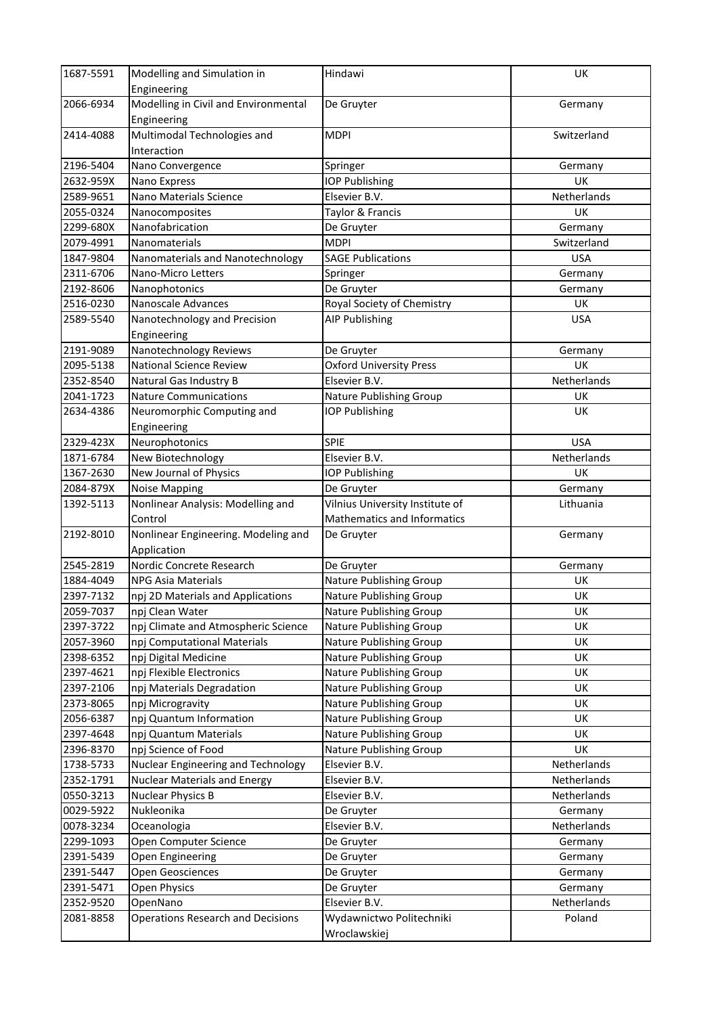| 1687-5591 | Modelling and Simulation in                      | Hindawi                         | UK          |
|-----------|--------------------------------------------------|---------------------------------|-------------|
|           | Engineering                                      |                                 |             |
| 2066-6934 | Modelling in Civil and Environmental             | De Gruyter                      | Germany     |
|           | Engineering                                      |                                 |             |
| 2414-4088 | Multimodal Technologies and                      | <b>MDPI</b>                     | Switzerland |
|           | Interaction                                      |                                 |             |
| 2196-5404 | Nano Convergence                                 | Springer                        | Germany     |
| 2632-959X | Nano Express                                     | <b>IOP Publishing</b>           | <b>UK</b>   |
| 2589-9651 | Nano Materials Science                           | Elsevier B.V.                   | Netherlands |
| 2055-0324 | Nanocomposites                                   | Taylor & Francis                | UK          |
| 2299-680X | Nanofabrication                                  | De Gruyter                      | Germany     |
| 2079-4991 | Nanomaterials                                    | <b>MDPI</b>                     | Switzerland |
| 1847-9804 | Nanomaterials and Nanotechnology                 | <b>SAGE Publications</b>        | <b>USA</b>  |
| 2311-6706 | Nano-Micro Letters                               | Springer                        | Germany     |
| 2192-8606 | Nanophotonics                                    | De Gruyter                      | Germany     |
| 2516-0230 | Nanoscale Advances                               | Royal Society of Chemistry      | UK          |
| 2589-5540 | Nanotechnology and Precision                     | <b>AIP Publishing</b>           | <b>USA</b>  |
|           | Engineering                                      |                                 |             |
| 2191-9089 | Nanotechnology Reviews                           | De Gruyter                      | Germany     |
| 2095-5138 | <b>National Science Review</b>                   | <b>Oxford University Press</b>  | UK          |
| 2352-8540 | Natural Gas Industry B                           | Elsevier B.V.                   | Netherlands |
| 2041-1723 | <b>Nature Communications</b>                     | Nature Publishing Group         | UK          |
| 2634-4386 | Neuromorphic Computing and                       | <b>IOP Publishing</b>           | UK          |
|           | Engineering                                      |                                 |             |
| 2329-423X | Neurophotonics                                   | <b>SPIE</b>                     | <b>USA</b>  |
| 1871-6784 | New Biotechnology                                | Elsevier B.V.                   | Netherlands |
| 1367-2630 | New Journal of Physics                           | <b>IOP Publishing</b>           | UK          |
| 2084-879X | <b>Noise Mapping</b>                             | De Gruyter                      | Germany     |
| 1392-5113 | Nonlinear Analysis: Modelling and                | Vilnius University Institute of | Lithuania   |
|           | Control                                          | Mathematics and Informatics     |             |
| 2192-8010 | Nonlinear Engineering. Modeling and              | De Gruyter                      | Germany     |
|           | Application                                      |                                 |             |
| 2545-2819 | Nordic Concrete Research                         | De Gruyter                      | Germany     |
| 1884-4049 | <b>NPG Asia Materials</b>                        | Nature Publishing Group         | UK          |
| 2397-7132 | npj 2D Materials and Applications                | <b>Nature Publishing Group</b>  | UK          |
| 2059-7037 | npj Clean Water                                  | Nature Publishing Group         | UK          |
| 2397-3722 | npj Climate and Atmospheric Science              | Nature Publishing Group         | UK          |
| 2057-3960 | npj Computational Materials                      | Nature Publishing Group         | <b>UK</b>   |
| 2398-6352 |                                                  |                                 | UK          |
|           | npj Digital Medicine<br>npj Flexible Electronics | Nature Publishing Group         |             |
| 2397-4621 |                                                  | Nature Publishing Group         | UK          |
| 2397-2106 | npj Materials Degradation                        | Nature Publishing Group         | UK          |
| 2373-8065 | npj Microgravity                                 | Nature Publishing Group         | UK          |
| 2056-6387 | npj Quantum Information                          | Nature Publishing Group         | UK          |
| 2397-4648 | npj Quantum Materials                            | Nature Publishing Group         | UK          |
| 2396-8370 | npj Science of Food                              | Nature Publishing Group         | UK          |
| 1738-5733 | Nuclear Engineering and Technology               | Elsevier B.V.                   | Netherlands |
| 2352-1791 | <b>Nuclear Materials and Energy</b>              | Elsevier B.V.                   | Netherlands |
| 0550-3213 | <b>Nuclear Physics B</b>                         | Elsevier B.V.                   | Netherlands |
| 0029-5922 | Nukleonika                                       | De Gruyter                      | Germany     |
| 0078-3234 | Oceanologia                                      | Elsevier B.V.                   | Netherlands |
| 2299-1093 | Open Computer Science                            | De Gruyter                      | Germany     |
| 2391-5439 | Open Engineering                                 | De Gruyter                      | Germany     |
| 2391-5447 | Open Geosciences                                 | De Gruyter                      | Germany     |
| 2391-5471 | Open Physics                                     | De Gruyter                      | Germany     |
| 2352-9520 | OpenNano                                         | Elsevier B.V.                   | Netherlands |
| 2081-8858 | <b>Operations Research and Decisions</b>         | Wydawnictwo Politechniki        | Poland      |
|           |                                                  | Wroclawskiej                    |             |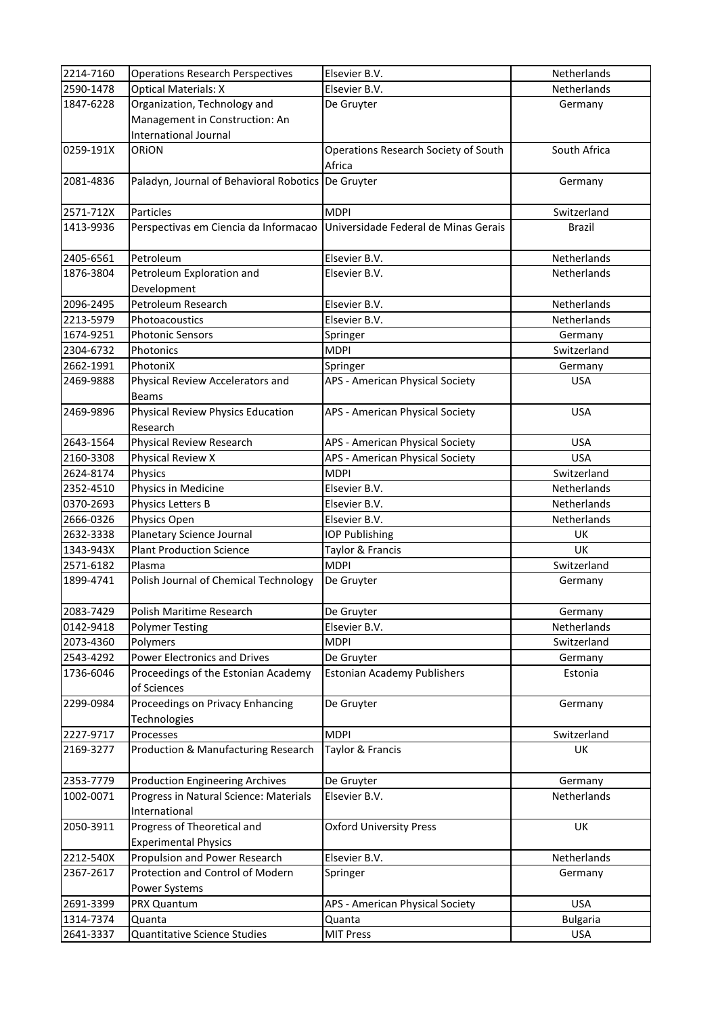| 2214-7160 | <b>Operations Research Perspectives</b>                    | Elsevier B.V.                                  | Netherlands     |
|-----------|------------------------------------------------------------|------------------------------------------------|-----------------|
| 2590-1478 | <b>Optical Materials: X</b>                                | Elsevier B.V.                                  | Netherlands     |
| 1847-6228 | Organization, Technology and                               | De Gruyter                                     | Germany         |
|           | Management in Construction: An                             |                                                |                 |
|           | International Journal                                      |                                                |                 |
| 0259-191X | ORION                                                      | Operations Research Society of South<br>Africa | South Africa    |
| 2081-4836 | Paladyn, Journal of Behavioral Robotics De Gruyter         |                                                | Germany         |
|           | Particles                                                  |                                                |                 |
| 2571-712X |                                                            | <b>MDPI</b>                                    | Switzerland     |
| 1413-9936 | Perspectivas em Ciencia da Informacao                      | Universidade Federal de Minas Gerais           | <b>Brazil</b>   |
| 2405-6561 | Petroleum                                                  | Elsevier B.V.                                  | Netherlands     |
| 1876-3804 | Petroleum Exploration and<br>Development                   | Elsevier B.V.                                  | Netherlands     |
| 2096-2495 | Petroleum Research                                         | Elsevier B.V.                                  | Netherlands     |
| 2213-5979 | Photoacoustics                                             | Elsevier B.V.                                  | Netherlands     |
| 1674-9251 | <b>Photonic Sensors</b>                                    | Springer                                       | Germany         |
| 2304-6732 | Photonics                                                  | <b>MDPI</b>                                    | Switzerland     |
| 2662-1991 | PhotoniX                                                   | Springer                                       | Germany         |
| 2469-9888 | Physical Review Accelerators and<br><b>Beams</b>           | APS - American Physical Society                | <b>USA</b>      |
| 2469-9896 | Physical Review Physics Education<br>Research              | APS - American Physical Society                | <b>USA</b>      |
| 2643-1564 | Physical Review Research                                   | APS - American Physical Society                | <b>USA</b>      |
| 2160-3308 | Physical Review X                                          | APS - American Physical Society                | <b>USA</b>      |
| 2624-8174 | Physics                                                    | <b>MDPI</b>                                    | Switzerland     |
| 2352-4510 | Physics in Medicine                                        | Elsevier B.V.                                  | Netherlands     |
| 0370-2693 | Physics Letters B                                          | Elsevier B.V.                                  | Netherlands     |
| 2666-0326 | Physics Open                                               | Elsevier B.V.                                  | Netherlands     |
| 2632-3338 | Planetary Science Journal                                  | <b>IOP Publishing</b>                          | UK              |
| 1343-943X | <b>Plant Production Science</b>                            | Taylor & Francis                               | UK              |
| 2571-6182 | Plasma                                                     | <b>MDPI</b>                                    | Switzerland     |
| 1899-4741 | Polish Journal of Chemical Technology                      | De Gruyter                                     | Germany         |
| 2083-7429 | Polish Maritime Research                                   | De Gruyter                                     | Germany         |
| 0142-9418 | <b>Polymer Testing</b>                                     | Elsevier B.V.                                  | Netherlands     |
| 2073-4360 | Polymers                                                   | <b>MDPI</b>                                    | Switzerland     |
| 2543-4292 | <b>Power Electronics and Drives</b>                        | De Gruyter                                     | Germany         |
| 1736-6046 | Proceedings of the Estonian Academy<br>of Sciences         | <b>Estonian Academy Publishers</b>             | Estonia         |
| 2299-0984 | Proceedings on Privacy Enhancing<br>Technologies           | De Gruyter                                     | Germany         |
| 2227-9717 | Processes                                                  | <b>MDPI</b>                                    | Switzerland     |
| 2169-3277 | Production & Manufacturing Research                        | Taylor & Francis                               | UK              |
| 2353-7779 | <b>Production Engineering Archives</b>                     | De Gruyter                                     | Germany         |
| 1002-0071 | Progress in Natural Science: Materials                     | Elsevier B.V.                                  | Netherlands     |
|           | International                                              |                                                |                 |
| 2050-3911 | Progress of Theoretical and<br><b>Experimental Physics</b> | <b>Oxford University Press</b>                 | UK              |
| 2212-540X | Propulsion and Power Research                              | Elsevier B.V.                                  | Netherlands     |
| 2367-2617 | Protection and Control of Modern                           | Springer                                       | Germany         |
|           | Power Systems                                              |                                                |                 |
| 2691-3399 | PRX Quantum                                                | APS - American Physical Society                | <b>USA</b>      |
| 1314-7374 | Quanta                                                     | Quanta                                         | <b>Bulgaria</b> |
| 2641-3337 | Quantitative Science Studies                               | <b>MIT Press</b>                               | <b>USA</b>      |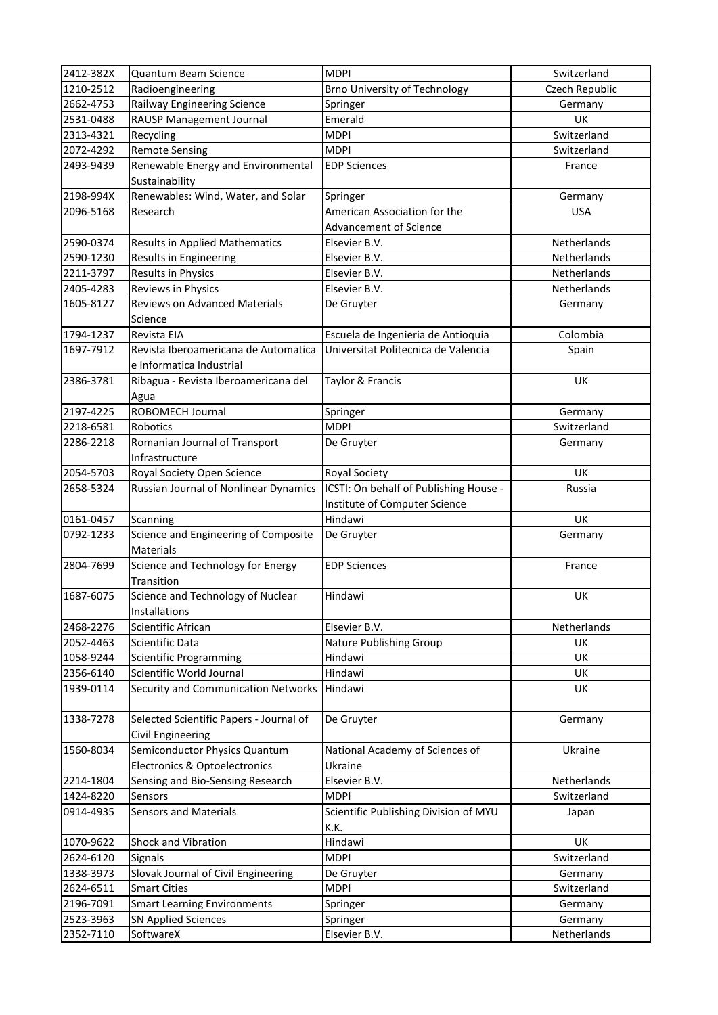| 2412-382X | Quantum Beam Science                    | <b>MDPI</b>                            | Switzerland    |
|-----------|-----------------------------------------|----------------------------------------|----------------|
| 1210-2512 | Radioengineering                        | <b>Brno University of Technology</b>   | Czech Republic |
| 2662-4753 | Railway Engineering Science             | Springer                               | Germany        |
| 2531-0488 | RAUSP Management Journal                | Emerald                                | UK             |
| 2313-4321 | Recycling                               | <b>MDPI</b>                            | Switzerland    |
| 2072-4292 | <b>Remote Sensing</b>                   | <b>MDPI</b>                            | Switzerland    |
| 2493-9439 | Renewable Energy and Environmental      | <b>EDP Sciences</b>                    | France         |
|           | Sustainability                          |                                        |                |
| 2198-994X | Renewables: Wind, Water, and Solar      | Springer                               | Germany        |
| 2096-5168 | Research                                | American Association for the           | <b>USA</b>     |
|           |                                         | Advancement of Science                 |                |
| 2590-0374 | <b>Results in Applied Mathematics</b>   | Elsevier B.V.                          | Netherlands    |
| 2590-1230 | Results in Engineering                  | Elsevier B.V.                          | Netherlands    |
| 2211-3797 | Results in Physics                      | Elsevier B.V.                          | Netherlands    |
| 2405-4283 | Reviews in Physics                      | Elsevier B.V.                          | Netherlands    |
| 1605-8127 | Reviews on Advanced Materials           | De Gruyter                             | Germany        |
|           | Science                                 |                                        |                |
| 1794-1237 | Revista EIA                             | Escuela de Ingenieria de Antioquia     | Colombia       |
| 1697-7912 | Revista Iberoamericana de Automatica    | Universitat Politecnica de Valencia    | Spain          |
|           | e Informatica Industrial                |                                        |                |
| 2386-3781 | Ribagua - Revista Iberoamericana del    | Taylor & Francis                       | <b>UK</b>      |
|           | Agua                                    |                                        |                |
| 2197-4225 | ROBOMECH Journal                        | Springer                               | Germany        |
| 2218-6581 | Robotics                                | <b>MDPI</b>                            | Switzerland    |
| 2286-2218 | Romanian Journal of Transport           | De Gruyter                             | Germany        |
|           | Infrastructure                          |                                        |                |
| 2054-5703 | Royal Society Open Science              | Royal Society                          | <b>UK</b>      |
| 2658-5324 | Russian Journal of Nonlinear Dynamics   | ICSTI: On behalf of Publishing House - | Russia         |
|           |                                         | Institute of Computer Science          |                |
| 0161-0457 | Scanning                                | Hindawi                                | UK             |
| 0792-1233 | Science and Engineering of Composite    | De Gruyter                             | Germany        |
|           | <b>Materials</b>                        |                                        |                |
| 2804-7699 | Science and Technology for Energy       | <b>EDP Sciences</b>                    | France         |
|           | Transition                              |                                        |                |
| 1687-6075 | Science and Technology of Nuclear       | Hindawi                                | UK             |
|           | Installations                           |                                        |                |
| 2468-2276 | Scientific African                      | Elsevier B.V.                          | Netherlands    |
| 2052-4463 | <b>Scientific Data</b>                  | Nature Publishing Group                | <b>UK</b>      |
| 1058-9244 | <b>Scientific Programming</b>           | Hindawi                                | UK             |
| 2356-6140 | Scientific World Journal                | Hindawi                                | UK             |
| 1939-0114 | Security and Communication Networks     | Hindawi                                | UK             |
|           |                                         |                                        |                |
| 1338-7278 | Selected Scientific Papers - Journal of | De Gruyter                             | Germany        |
|           | Civil Engineering                       |                                        |                |
| 1560-8034 | Semiconductor Physics Quantum           | National Academy of Sciences of        | Ukraine        |
|           | Electronics & Optoelectronics           | Ukraine                                |                |
| 2214-1804 | Sensing and Bio-Sensing Research        | Elsevier B.V.                          | Netherlands    |
| 1424-8220 | Sensors                                 | <b>MDPI</b>                            | Switzerland    |
| 0914-4935 | <b>Sensors and Materials</b>            | Scientific Publishing Division of MYU  | Japan          |
|           |                                         | K.K.                                   |                |
| 1070-9622 | Shock and Vibration                     | Hindawi                                | UK             |
| 2624-6120 | Signals                                 | <b>MDPI</b>                            | Switzerland    |
| 1338-3973 | Slovak Journal of Civil Engineering     | De Gruyter                             | Germany        |
| 2624-6511 | <b>Smart Cities</b>                     | <b>MDPI</b>                            | Switzerland    |
| 2196-7091 | <b>Smart Learning Environments</b>      | Springer                               | Germany        |
| 2523-3963 | <b>SN Applied Sciences</b>              | Springer                               | Germany        |
| 2352-7110 | SoftwareX                               | Elsevier B.V.                          | Netherlands    |
|           |                                         |                                        |                |